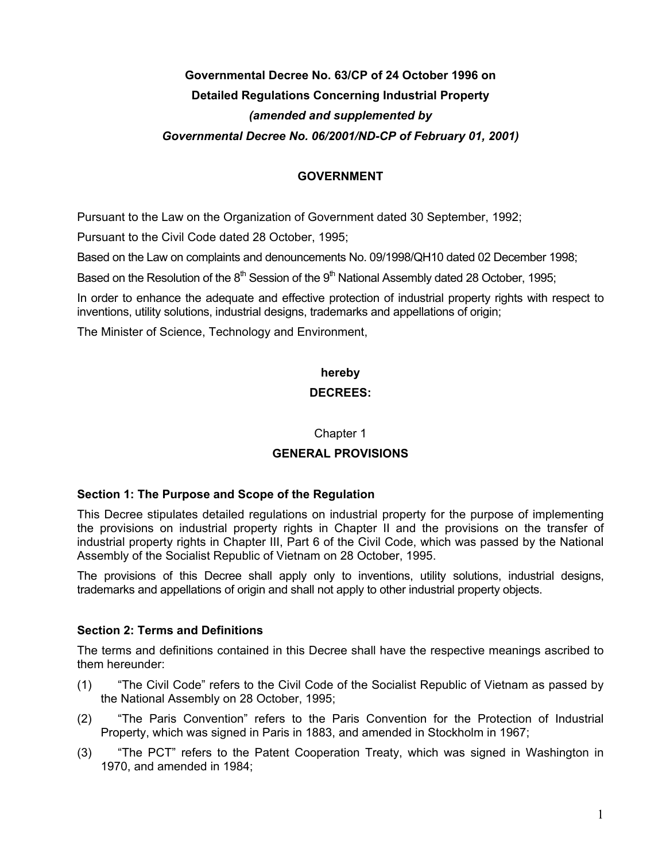# **Governmental Decree No. 63/CP of 24 October 1996 on Detailed Regulations Concerning Industrial Property**  *(amended and supplemented by Governmental Decree No. 06/2001/ND-CP of February 01, 2001)*

# **GOVERNMENT**

Pursuant to the Law on the Organization of Government dated 30 September, 1992;

Pursuant to the Civil Code dated 28 October, 1995;

Based on the Law on complaints and denouncements No. 09/1998/QH10 dated 02 December 1998;

Based on the Resolution of the  $8<sup>th</sup>$  Session of the  $9<sup>th</sup>$  National Assembly dated 28 October, 1995;

In order to enhance the adequate and effective protection of industrial property rights with respect to inventions, utility solutions, industrial designs, trademarks and appellations of origin;

The Minister of Science, Technology and Environment,

# **hereby DECREES:**

### Chapter 1

### **GENERAL PROVISIONS**

### **Section 1: The Purpose and Scope of the Regulation**

This Decree stipulates detailed regulations on industrial property for the purpose of implementing the provisions on industrial property rights in Chapter II and the provisions on the transfer of industrial property rights in Chapter III, Part 6 of the Civil Code, which was passed by the National Assembly of the Socialist Republic of Vietnam on 28 October, 1995.

The provisions of this Decree shall apply only to inventions, utility solutions, industrial designs, trademarks and appellations of origin and shall not apply to other industrial property objects.

### **Section 2: Terms and Definitions**

The terms and definitions contained in this Decree shall have the respective meanings ascribed to them hereunder:

- (1) "The Civil Code" refers to the Civil Code of the Socialist Republic of Vietnam as passed by the National Assembly on 28 October, 1995;
- (2) "The Paris Convention" refers to the Paris Convention for the Protection of Industrial Property, which was signed in Paris in 1883, and amended in Stockholm in 1967;
- (3) "The PCT" refers to the Patent Cooperation Treaty, which was signed in Washington in 1970, and amended in 1984;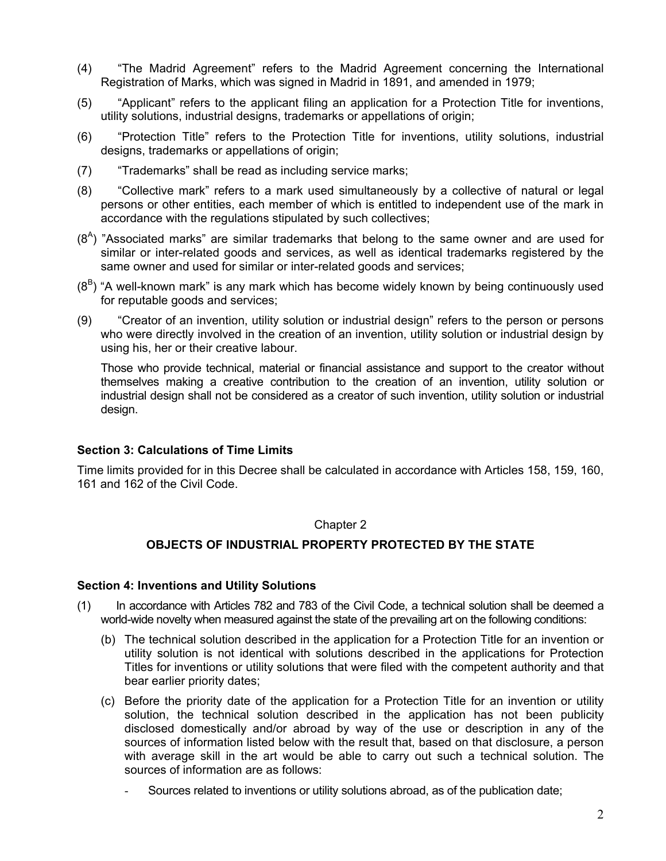- (4) "The Madrid Agreement" refers to the Madrid Agreement concerning the International Registration of Marks, which was signed in Madrid in 1891, and amended in 1979;
- (5) "Applicant" refers to the applicant filing an application for a Protection Title for inventions, utility solutions, industrial designs, trademarks or appellations of origin;
- (6) "Protection Title" refers to the Protection Title for inventions, utility solutions, industrial designs, trademarks or appellations of origin;
- (7) "Trademarks" shall be read as including service marks;
- (8) "Collective mark" refers to a mark used simultaneously by a collective of natural or legal persons or other entities, each member of which is entitled to independent use of the mark in accordance with the regulations stipulated by such collectives;
- $(8<sup>A</sup>)$  "Associated marks" are similar trademarks that belong to the same owner and are used for similar or inter-related goods and services, as well as identical trademarks registered by the same owner and used for similar or inter-related goods and services;
- $(8^B)$  "A well-known mark" is any mark which has become widely known by being continuously used for reputable goods and services;
- (9) "Creator of an invention, utility solution or industrial design" refers to the person or persons who were directly involved in the creation of an invention, utility solution or industrial design by using his, her or their creative labour.

Those who provide technical, material or financial assistance and support to the creator without themselves making a creative contribution to the creation of an invention, utility solution or industrial design shall not be considered as a creator of such invention, utility solution or industrial design.

### **Section 3: Calculations of Time Limits**

Time limits provided for in this Decree shall be calculated in accordance with Articles 158, 159, 160, 161 and 162 of the Civil Code.

### Chapter 2

### **OBJECTS OF INDUSTRIAL PROPERTY PROTECTED BY THE STATE**

### **Section 4: Inventions and Utility Solutions**

- (1) In accordance with Articles 782 and 783 of the Civil Code, a technical solution shall be deemed a world-wide novelty when measured against the state of the prevailing art on the following conditions:
	- (b) The technical solution described in the application for a Protection Title for an invention or utility solution is not identical with solutions described in the applications for Protection Titles for inventions or utility solutions that were filed with the competent authority and that bear earlier priority dates;
	- (c) Before the priority date of the application for a Protection Title for an invention or utility solution, the technical solution described in the application has not been publicity disclosed domestically and/or abroad by way of the use or description in any of the sources of information listed below with the result that, based on that disclosure, a person with average skill in the art would be able to carry out such a technical solution. The sources of information are as follows:
		- Sources related to inventions or utility solutions abroad, as of the publication date;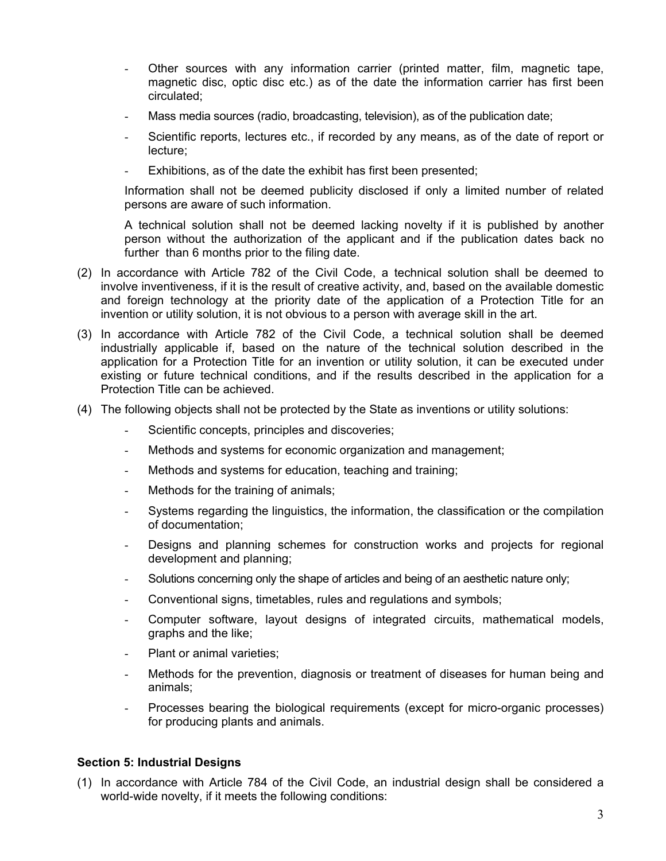- Other sources with any information carrier (printed matter, film, magnetic tape, magnetic disc, optic disc etc.) as of the date the information carrier has first been circulated;
- Mass media sources (radio, broadcasting, television), as of the publication date;
- Scientific reports, lectures etc., if recorded by any means, as of the date of report or lecture;
- Exhibitions, as of the date the exhibit has first been presented;

Information shall not be deemed publicity disclosed if only a limited number of related persons are aware of such information.

A technical solution shall not be deemed lacking novelty if it is published by another person without the authorization of the applicant and if the publication dates back no further than 6 months prior to the filing date.

- (2) In accordance with Article 782 of the Civil Code, a technical solution shall be deemed to involve inventiveness, if it is the result of creative activity, and, based on the available domestic and foreign technology at the priority date of the application of a Protection Title for an invention or utility solution, it is not obvious to a person with average skill in the art.
- (3) In accordance with Article 782 of the Civil Code, a technical solution shall be deemed industrially applicable if, based on the nature of the technical solution described in the application for a Protection Title for an invention or utility solution, it can be executed under existing or future technical conditions, and if the results described in the application for a Protection Title can be achieved.
- (4) The following objects shall not be protected by the State as inventions or utility solutions:
	- Scientific concepts, principles and discoveries;
	- Methods and systems for economic organization and management;
	- Methods and systems for education, teaching and training;
	- Methods for the training of animals;
	- Systems regarding the linguistics, the information, the classification or the compilation of documentation;
	- Designs and planning schemes for construction works and projects for regional development and planning;
	- Solutions concerning only the shape of articles and being of an aesthetic nature only;
	- Conventional signs, timetables, rules and regulations and symbols;
	- Computer software, layout designs of integrated circuits, mathematical models, graphs and the like;
	- Plant or animal varieties;
	- Methods for the prevention, diagnosis or treatment of diseases for human being and animals;
	- Processes bearing the biological requirements (except for micro-organic processes) for producing plants and animals.

### **Section 5: Industrial Designs**

(1) In accordance with Article 784 of the Civil Code, an industrial design shall be considered a world-wide novelty, if it meets the following conditions: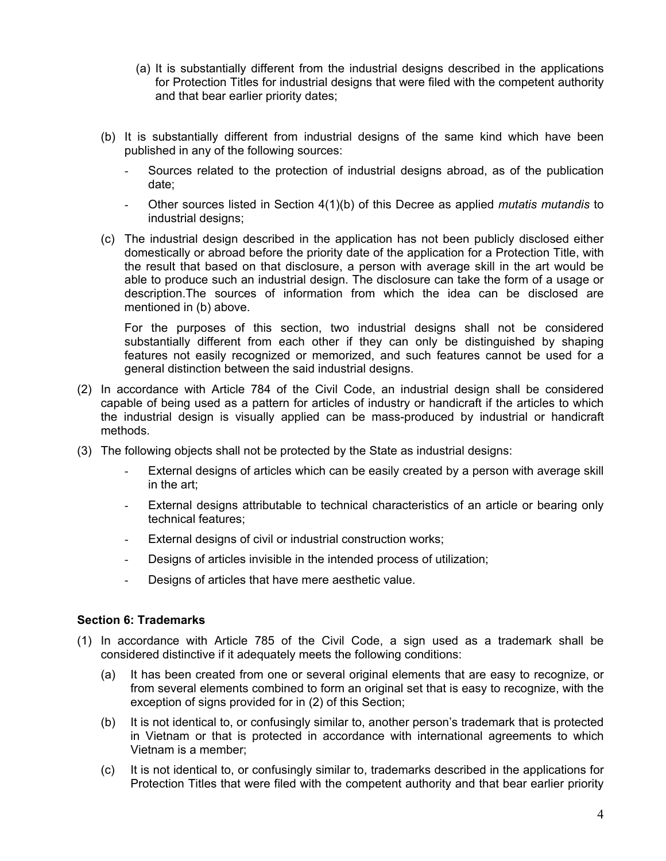- (a) It is substantially different from the industrial designs described in the applications for Protection Titles for industrial designs that were filed with the competent authority and that bear earlier priority dates;
- (b) It is substantially different from industrial designs of the same kind which have been published in any of the following sources:
	- Sources related to the protection of industrial designs abroad, as of the publication date;
	- Other sources listed in Section 4(1)(b) of this Decree as applied *mutatis mutandis* to industrial designs;
- (c) The industrial design described in the application has not been publicly disclosed either domestically or abroad before the priority date of the application for a Protection Title, with the result that based on that disclosure, a person with average skill in the art would be able to produce such an industrial design. The disclosure can take the form of a usage or description.The sources of information from which the idea can be disclosed are mentioned in (b) above.

For the purposes of this section, two industrial designs shall not be considered substantially different from each other if they can only be distinguished by shaping features not easily recognized or memorized, and such features cannot be used for a general distinction between the said industrial designs.

- (2) In accordance with Article 784 of the Civil Code, an industrial design shall be considered capable of being used as a pattern for articles of industry or handicraft if the articles to which the industrial design is visually applied can be mass-produced by industrial or handicraft methods.
- (3) The following objects shall not be protected by the State as industrial designs:
	- External designs of articles which can be easily created by a person with average skill in the art;
	- External designs attributable to technical characteristics of an article or bearing only technical features;
	- External designs of civil or industrial construction works;
	- Designs of articles invisible in the intended process of utilization;
	- Designs of articles that have mere aesthetic value.

### **Section 6: Trademarks**

- (1) In accordance with Article 785 of the Civil Code, a sign used as a trademark shall be considered distinctive if it adequately meets the following conditions:
	- (a) It has been created from one or several original elements that are easy to recognize, or from several elements combined to form an original set that is easy to recognize, with the exception of signs provided for in (2) of this Section;
	- (b) It is not identical to, or confusingly similar to, another person's trademark that is protected in Vietnam or that is protected in accordance with international agreements to which Vietnam is a member;
	- (c) It is not identical to, or confusingly similar to, trademarks described in the applications for Protection Titles that were filed with the competent authority and that bear earlier priority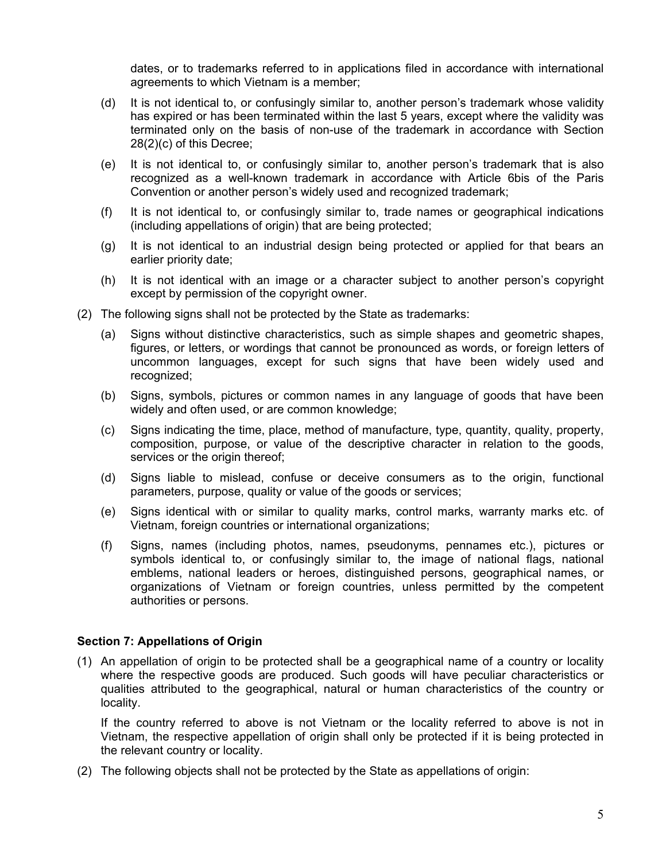dates, or to trademarks referred to in applications filed in accordance with international agreements to which Vietnam is a member;

- (d) It is not identical to, or confusingly similar to, another person's trademark whose validity has expired or has been terminated within the last 5 years, except where the validity was terminated only on the basis of non-use of the trademark in accordance with Section 28(2)(c) of this Decree;
- (e) It is not identical to, or confusingly similar to, another person's trademark that is also recognized as a well-known trademark in accordance with Article 6bis of the Paris Convention or another person's widely used and recognized trademark;
- (f) It is not identical to, or confusingly similar to, trade names or geographical indications (including appellations of origin) that are being protected;
- (g) It is not identical to an industrial design being protected or applied for that bears an earlier priority date;
- (h) It is not identical with an image or a character subject to another person's copyright except by permission of the copyright owner.
- (2) The following signs shall not be protected by the State as trademarks:
	- (a) Signs without distinctive characteristics, such as simple shapes and geometric shapes, figures, or letters, or wordings that cannot be pronounced as words, or foreign letters of uncommon languages, except for such signs that have been widely used and recognized;
	- (b) Signs, symbols, pictures or common names in any language of goods that have been widely and often used, or are common knowledge;
	- (c) Signs indicating the time, place, method of manufacture, type, quantity, quality, property, composition, purpose, or value of the descriptive character in relation to the goods, services or the origin thereof;
	- (d) Signs liable to mislead, confuse or deceive consumers as to the origin, functional parameters, purpose, quality or value of the goods or services;
	- (e) Signs identical with or similar to quality marks, control marks, warranty marks etc. of Vietnam, foreign countries or international organizations;
	- (f) Signs, names (including photos, names, pseudonyms, pennames etc.), pictures or symbols identical to, or confusingly similar to, the image of national flags, national emblems, national leaders or heroes, distinguished persons, geographical names, or organizations of Vietnam or foreign countries, unless permitted by the competent authorities or persons.

### **Section 7: Appellations of Origin**

(1) An appellation of origin to be protected shall be a geographical name of a country or locality where the respective goods are produced. Such goods will have peculiar characteristics or qualities attributed to the geographical, natural or human characteristics of the country or locality.

If the country referred to above is not Vietnam or the locality referred to above is not in Vietnam, the respective appellation of origin shall only be protected if it is being protected in the relevant country or locality.

(2) The following objects shall not be protected by the State as appellations of origin: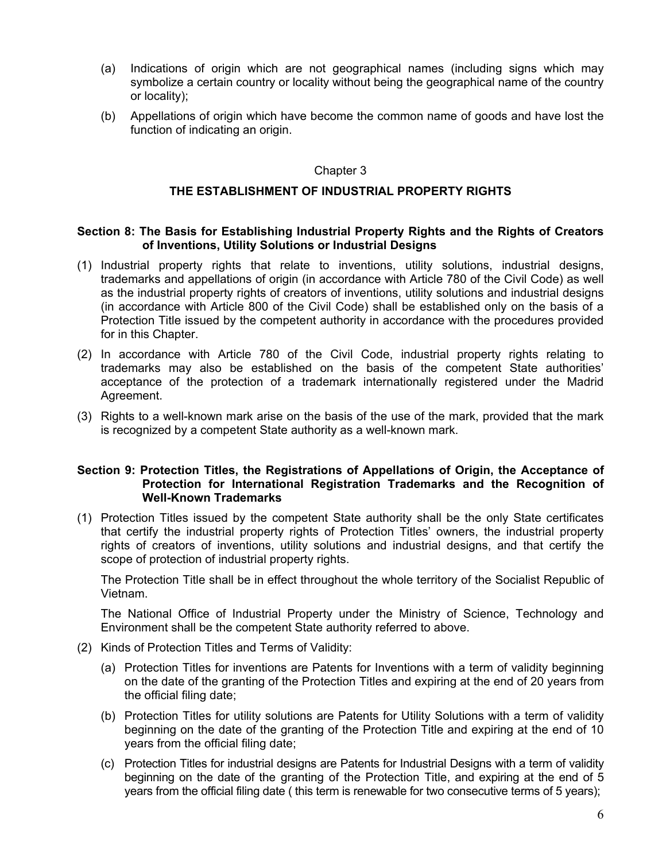- (a) Indications of origin which are not geographical names (including signs which may symbolize a certain country or locality without being the geographical name of the country or locality);
- (b) Appellations of origin which have become the common name of goods and have lost the function of indicating an origin.

### Chapter 3

### **THE ESTABLISHMENT OF INDUSTRIAL PROPERTY RIGHTS**

### **Section 8: The Basis for Establishing Industrial Property Rights and the Rights of Creators of Inventions, Utility Solutions or Industrial Designs**

- (1) Industrial property rights that relate to inventions, utility solutions, industrial designs, trademarks and appellations of origin (in accordance with Article 780 of the Civil Code) as well as the industrial property rights of creators of inventions, utility solutions and industrial designs (in accordance with Article 800 of the Civil Code) shall be established only on the basis of a Protection Title issued by the competent authority in accordance with the procedures provided for in this Chapter.
- (2) In accordance with Article 780 of the Civil Code, industrial property rights relating to trademarks may also be established on the basis of the competent State authorities' acceptance of the protection of a trademark internationally registered under the Madrid Agreement.
- (3) Rights to a well-known mark arise on the basis of the use of the mark, provided that the mark is recognized by a competent State authority as a well-known mark.

### **Section 9: Protection Titles, the Registrations of Appellations of Origin, the Acceptance of Protection for International Registration Trademarks and the Recognition of Well-Known Trademarks**

(1) Protection Titles issued by the competent State authority shall be the only State certificates that certify the industrial property rights of Protection Titles' owners, the industrial property rights of creators of inventions, utility solutions and industrial designs, and that certify the scope of protection of industrial property rights.

The Protection Title shall be in effect throughout the whole territory of the Socialist Republic of Vietnam.

The National Office of Industrial Property under the Ministry of Science, Technology and Environment shall be the competent State authority referred to above.

- (2) Kinds of Protection Titles and Terms of Validity:
	- (a) Protection Titles for inventions are Patents for Inventions with a term of validity beginning on the date of the granting of the Protection Titles and expiring at the end of 20 years from the official filing date;
	- (b) Protection Titles for utility solutions are Patents for Utility Solutions with a term of validity beginning on the date of the granting of the Protection Title and expiring at the end of 10 years from the official filing date;
	- (c) Protection Titles for industrial designs are Patents for Industrial Designs with a term of validity beginning on the date of the granting of the Protection Title, and expiring at the end of 5 years from the official filing date ( this term is renewable for two consecutive terms of 5 years);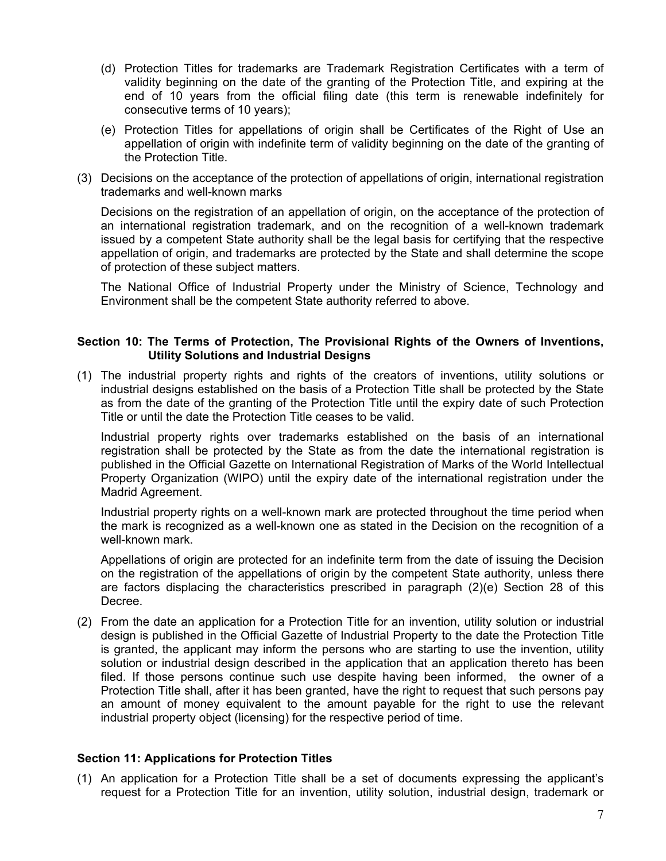- (d) Protection Titles for trademarks are Trademark Registration Certificates with a term of validity beginning on the date of the granting of the Protection Title, and expiring at the end of 10 years from the official filing date (this term is renewable indefinitely for consecutive terms of 10 years);
- (e) Protection Titles for appellations of origin shall be Certificates of the Right of Use an appellation of origin with indefinite term of validity beginning on the date of the granting of the Protection Title.
- (3) Decisions on the acceptance of the protection of appellations of origin, international registration trademarks and well-known marks

Decisions on the registration of an appellation of origin, on the acceptance of the protection of an international registration trademark, and on the recognition of a well-known trademark issued by a competent State authority shall be the legal basis for certifying that the respective appellation of origin, and trademarks are protected by the State and shall determine the scope of protection of these subject matters.

The National Office of Industrial Property under the Ministry of Science, Technology and Environment shall be the competent State authority referred to above.

### **Section 10: The Terms of Protection, The Provisional Rights of the Owners of Inventions, Utility Solutions and Industrial Designs**

(1) The industrial property rights and rights of the creators of inventions, utility solutions or industrial designs established on the basis of a Protection Title shall be protected by the State as from the date of the granting of the Protection Title until the expiry date of such Protection Title or until the date the Protection Title ceases to be valid.

Industrial property rights over trademarks established on the basis of an international registration shall be protected by the State as from the date the international registration is published in the Official Gazette on International Registration of Marks of the World Intellectual Property Organization (WIPO) until the expiry date of the international registration under the Madrid Agreement.

Industrial property rights on a well-known mark are protected throughout the time period when the mark is recognized as a well-known one as stated in the Decision on the recognition of a well-known mark.

Appellations of origin are protected for an indefinite term from the date of issuing the Decision on the registration of the appellations of origin by the competent State authority, unless there are factors displacing the characteristics prescribed in paragraph (2)(e) Section 28 of this Decree.

(2) From the date an application for a Protection Title for an invention, utility solution or industrial design is published in the Official Gazette of Industrial Property to the date the Protection Title is granted, the applicant may inform the persons who are starting to use the invention, utility solution or industrial design described in the application that an application thereto has been filed. If those persons continue such use despite having been informed, the owner of a Protection Title shall, after it has been granted, have the right to request that such persons pay an amount of money equivalent to the amount payable for the right to use the relevant industrial property object (licensing) for the respective period of time.

### **Section 11: Applications for Protection Titles**

(1) An application for a Protection Title shall be a set of documents expressing the applicant's request for a Protection Title for an invention, utility solution, industrial design, trademark or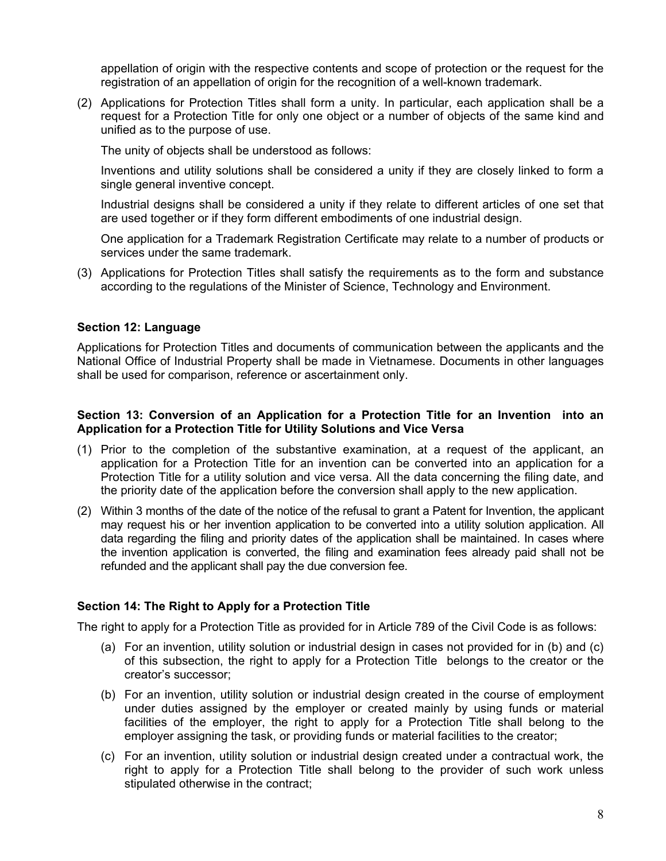appellation of origin with the respective contents and scope of protection or the request for the registration of an appellation of origin for the recognition of a well-known trademark.

(2) Applications for Protection Titles shall form a unity. In particular, each application shall be a request for a Protection Title for only one object or a number of objects of the same kind and unified as to the purpose of use.

The unity of objects shall be understood as follows:

Inventions and utility solutions shall be considered a unity if they are closely linked to form a single general inventive concept.

Industrial designs shall be considered a unity if they relate to different articles of one set that are used together or if they form different embodiments of one industrial design.

One application for a Trademark Registration Certificate may relate to a number of products or services under the same trademark.

(3) Applications for Protection Titles shall satisfy the requirements as to the form and substance according to the regulations of the Minister of Science, Technology and Environment.

### **Section 12: Language**

Applications for Protection Titles and documents of communication between the applicants and the National Office of Industrial Property shall be made in Vietnamese. Documents in other languages shall be used for comparison, reference or ascertainment only.

### **Section 13: Conversion of an Application for a Protection Title for an Invention into an Application for a Protection Title for Utility Solutions and Vice Versa**

- (1) Prior to the completion of the substantive examination, at a request of the applicant, an application for a Protection Title for an invention can be converted into an application for a Protection Title for a utility solution and vice versa. All the data concerning the filing date, and the priority date of the application before the conversion shall apply to the new application.
- (2) Within 3 months of the date of the notice of the refusal to grant a Patent for Invention, the applicant may request his or her invention application to be converted into a utility solution application. All data regarding the filing and priority dates of the application shall be maintained. In cases where the invention application is converted, the filing and examination fees already paid shall not be refunded and the applicant shall pay the due conversion fee.

### **Section 14: The Right to Apply for a Protection Title**

The right to apply for a Protection Title as provided for in Article 789 of the Civil Code is as follows:

- (a) For an invention, utility solution or industrial design in cases not provided for in (b) and (c) of this subsection, the right to apply for a Protection Title belongs to the creator or the creator's successor;
- (b) For an invention, utility solution or industrial design created in the course of employment under duties assigned by the employer or created mainly by using funds or material facilities of the employer, the right to apply for a Protection Title shall belong to the employer assigning the task, or providing funds or material facilities to the creator;
- (c) For an invention, utility solution or industrial design created under a contractual work, the right to apply for a Protection Title shall belong to the provider of such work unless stipulated otherwise in the contract;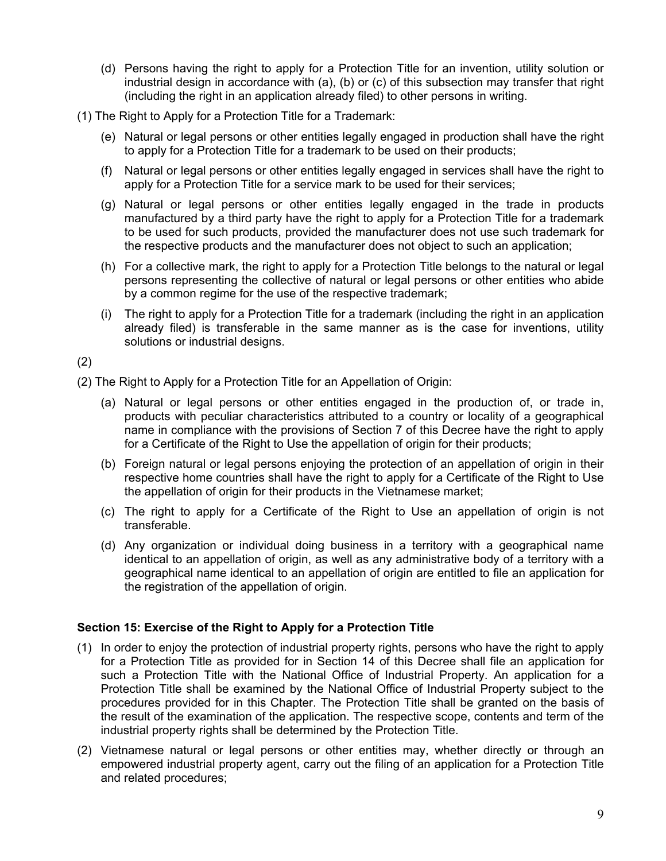- (d) Persons having the right to apply for a Protection Title for an invention, utility solution or industrial design in accordance with (a), (b) or (c) of this subsection may transfer that right (including the right in an application already filed) to other persons in writing.
- (1) The Right to Apply for a Protection Title for a Trademark:
	- (e) Natural or legal persons or other entities legally engaged in production shall have the right to apply for a Protection Title for a trademark to be used on their products;
	- (f) Natural or legal persons or other entities legally engaged in services shall have the right to apply for a Protection Title for a service mark to be used for their services;
	- (g) Natural or legal persons or other entities legally engaged in the trade in products manufactured by a third party have the right to apply for a Protection Title for a trademark to be used for such products, provided the manufacturer does not use such trademark for the respective products and the manufacturer does not object to such an application;
	- (h) For a collective mark, the right to apply for a Protection Title belongs to the natural or legal persons representing the collective of natural or legal persons or other entities who abide by a common regime for the use of the respective trademark;
	- (i) The right to apply for a Protection Title for a trademark (including the right in an application already filed) is transferable in the same manner as is the case for inventions, utility solutions or industrial designs.

(2)

(2) The Right to Apply for a Protection Title for an Appellation of Origin:

- (a) Natural or legal persons or other entities engaged in the production of, or trade in, products with peculiar characteristics attributed to a country or locality of a geographical name in compliance with the provisions of Section 7 of this Decree have the right to apply for a Certificate of the Right to Use the appellation of origin for their products;
- (b) Foreign natural or legal persons enjoying the protection of an appellation of origin in their respective home countries shall have the right to apply for a Certificate of the Right to Use the appellation of origin for their products in the Vietnamese market;
- (c) The right to apply for a Certificate of the Right to Use an appellation of origin is not transferable.
- (d) Any organization or individual doing business in a territory with a geographical name identical to an appellation of origin, as well as any administrative body of a territory with a geographical name identical to an appellation of origin are entitled to file an application for the registration of the appellation of origin.

### **Section 15: Exercise of the Right to Apply for a Protection Title**

- (1) In order to enjoy the protection of industrial property rights, persons who have the right to apply for a Protection Title as provided for in Section 14 of this Decree shall file an application for such a Protection Title with the National Office of Industrial Property. An application for a Protection Title shall be examined by the National Office of Industrial Property subject to the procedures provided for in this Chapter. The Protection Title shall be granted on the basis of the result of the examination of the application. The respective scope, contents and term of the industrial property rights shall be determined by the Protection Title.
- (2) Vietnamese natural or legal persons or other entities may, whether directly or through an empowered industrial property agent, carry out the filing of an application for a Protection Title and related procedures;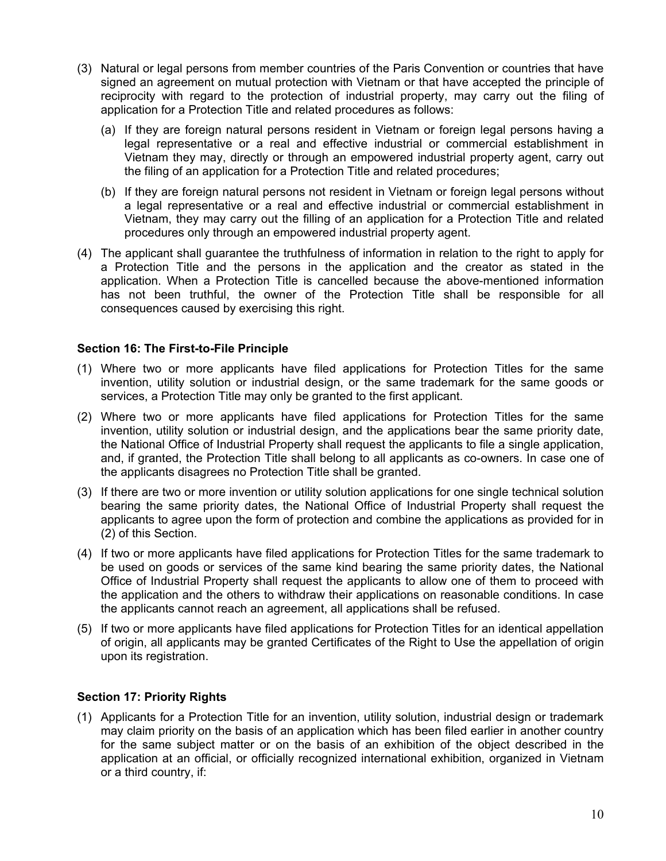- (3) Natural or legal persons from member countries of the Paris Convention or countries that have signed an agreement on mutual protection with Vietnam or that have accepted the principle of reciprocity with regard to the protection of industrial property, may carry out the filing of application for a Protection Title and related procedures as follows:
	- (a) If they are foreign natural persons resident in Vietnam or foreign legal persons having a legal representative or a real and effective industrial or commercial establishment in Vietnam they may, directly or through an empowered industrial property agent, carry out the filing of an application for a Protection Title and related procedures;
	- (b) If they are foreign natural persons not resident in Vietnam or foreign legal persons without a legal representative or a real and effective industrial or commercial establishment in Vietnam, they may carry out the filling of an application for a Protection Title and related procedures only through an empowered industrial property agent.
- (4) The applicant shall guarantee the truthfulness of information in relation to the right to apply for a Protection Title and the persons in the application and the creator as stated in the application. When a Protection Title is cancelled because the above-mentioned information has not been truthful, the owner of the Protection Title shall be responsible for all consequences caused by exercising this right.

### **Section 16: The First-to-File Principle**

- (1) Where two or more applicants have filed applications for Protection Titles for the same invention, utility solution or industrial design, or the same trademark for the same goods or services, a Protection Title may only be granted to the first applicant.
- (2) Where two or more applicants have filed applications for Protection Titles for the same invention, utility solution or industrial design, and the applications bear the same priority date, the National Office of Industrial Property shall request the applicants to file a single application, and, if granted, the Protection Title shall belong to all applicants as co-owners. In case one of the applicants disagrees no Protection Title shall be granted.
- (3) If there are two or more invention or utility solution applications for one single technical solution bearing the same priority dates, the National Office of Industrial Property shall request the applicants to agree upon the form of protection and combine the applications as provided for in (2) of this Section.
- (4) If two or more applicants have filed applications for Protection Titles for the same trademark to be used on goods or services of the same kind bearing the same priority dates, the National Office of Industrial Property shall request the applicants to allow one of them to proceed with the application and the others to withdraw their applications on reasonable conditions. In case the applicants cannot reach an agreement, all applications shall be refused.
- (5) If two or more applicants have filed applications for Protection Titles for an identical appellation of origin, all applicants may be granted Certificates of the Right to Use the appellation of origin upon its registration.

### **Section 17: Priority Rights**

(1) Applicants for a Protection Title for an invention, utility solution, industrial design or trademark may claim priority on the basis of an application which has been filed earlier in another country for the same subject matter or on the basis of an exhibition of the object described in the application at an official, or officially recognized international exhibition, organized in Vietnam or a third country, if: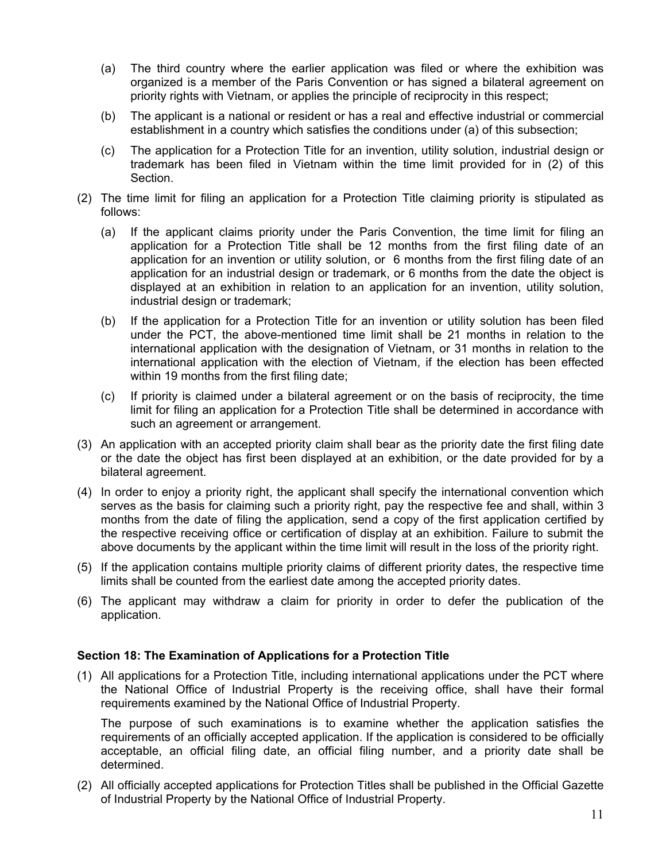- (a) The third country where the earlier application was filed or where the exhibition was organized is a member of the Paris Convention or has signed a bilateral agreement on priority rights with Vietnam, or applies the principle of reciprocity in this respect;
- (b) The applicant is a national or resident or has a real and effective industrial or commercial establishment in a country which satisfies the conditions under (a) of this subsection;
- (c) The application for a Protection Title for an invention, utility solution, industrial design or trademark has been filed in Vietnam within the time limit provided for in (2) of this Section.
- (2) The time limit for filing an application for a Protection Title claiming priority is stipulated as follows:
	- (a) If the applicant claims priority under the Paris Convention, the time limit for filing an application for a Protection Title shall be 12 months from the first filing date of an application for an invention or utility solution, or 6 months from the first filing date of an application for an industrial design or trademark, or 6 months from the date the object is displayed at an exhibition in relation to an application for an invention, utility solution, industrial design or trademark;
	- (b) If the application for a Protection Title for an invention or utility solution has been filed under the PCT, the above-mentioned time limit shall be 21 months in relation to the international application with the designation of Vietnam, or 31 months in relation to the international application with the election of Vietnam, if the election has been effected within 19 months from the first filing date;
	- (c) If priority is claimed under a bilateral agreement or on the basis of reciprocity, the time limit for filing an application for a Protection Title shall be determined in accordance with such an agreement or arrangement.
- (3) An application with an accepted priority claim shall bear as the priority date the first filing date or the date the object has first been displayed at an exhibition, or the date provided for by a bilateral agreement.
- (4) In order to enjoy a priority right, the applicant shall specify the international convention which serves as the basis for claiming such a priority right, pay the respective fee and shall, within 3 months from the date of filing the application, send a copy of the first application certified by the respective receiving office or certification of display at an exhibition. Failure to submit the above documents by the applicant within the time limit will result in the loss of the priority right.
- (5) If the application contains multiple priority claims of different priority dates, the respective time limits shall be counted from the earliest date among the accepted priority dates.
- (6) The applicant may withdraw a claim for priority in order to defer the publication of the application.

### **Section 18: The Examination of Applications for a Protection Title**

(1) All applications for a Protection Title, including international applications under the PCT where the National Office of Industrial Property is the receiving office, shall have their formal requirements examined by the National Office of Industrial Property.

The purpose of such examinations is to examine whether the application satisfies the requirements of an officially accepted application. If the application is considered to be officially acceptable, an official filing date, an official filing number, and a priority date shall be determined.

(2) All officially accepted applications for Protection Titles shall be published in the Official Gazette of Industrial Property by the National Office of Industrial Property.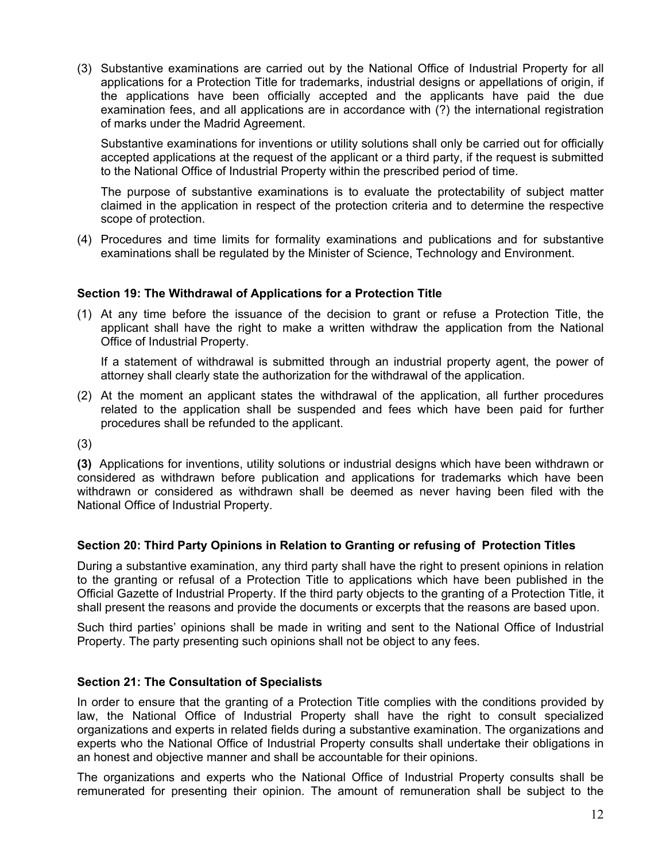(3) Substantive examinations are carried out by the National Office of Industrial Property for all applications for a Protection Title for trademarks, industrial designs or appellations of origin, if the applications have been officially accepted and the applicants have paid the due examination fees, and all applications are in accordance with (?) the international registration of marks under the Madrid Agreement.

Substantive examinations for inventions or utility solutions shall only be carried out for officially accepted applications at the request of the applicant or a third party, if the request is submitted to the National Office of Industrial Property within the prescribed period of time.

The purpose of substantive examinations is to evaluate the protectability of subject matter claimed in the application in respect of the protection criteria and to determine the respective scope of protection.

(4) Procedures and time limits for formality examinations and publications and for substantive examinations shall be regulated by the Minister of Science, Technology and Environment.

### **Section 19: The Withdrawal of Applications for a Protection Title**

(1) At any time before the issuance of the decision to grant or refuse a Protection Title, the applicant shall have the right to make a written withdraw the application from the National Office of Industrial Property.

If a statement of withdrawal is submitted through an industrial property agent, the power of attorney shall clearly state the authorization for the withdrawal of the application.

(2) At the moment an applicant states the withdrawal of the application, all further procedures related to the application shall be suspended and fees which have been paid for further procedures shall be refunded to the applicant.

(3)

**(3)** Applications for inventions, utility solutions or industrial designs which have been withdrawn or considered as withdrawn before publication and applications for trademarks which have been withdrawn or considered as withdrawn shall be deemed as never having been filed with the National Office of Industrial Property.

### **Section 20: Third Party Opinions in Relation to Granting or refusing of Protection Titles**

During a substantive examination, any third party shall have the right to present opinions in relation to the granting or refusal of a Protection Title to applications which have been published in the Official Gazette of Industrial Property. If the third party objects to the granting of a Protection Title, it shall present the reasons and provide the documents or excerpts that the reasons are based upon.

Such third parties' opinions shall be made in writing and sent to the National Office of Industrial Property. The party presenting such opinions shall not be object to any fees.

### **Section 21: The Consultation of Specialists**

In order to ensure that the granting of a Protection Title complies with the conditions provided by law, the National Office of Industrial Property shall have the right to consult specialized organizations and experts in related fields during a substantive examination. The organizations and experts who the National Office of Industrial Property consults shall undertake their obligations in an honest and objective manner and shall be accountable for their opinions.

The organizations and experts who the National Office of Industrial Property consults shall be remunerated for presenting their opinion. The amount of remuneration shall be subject to the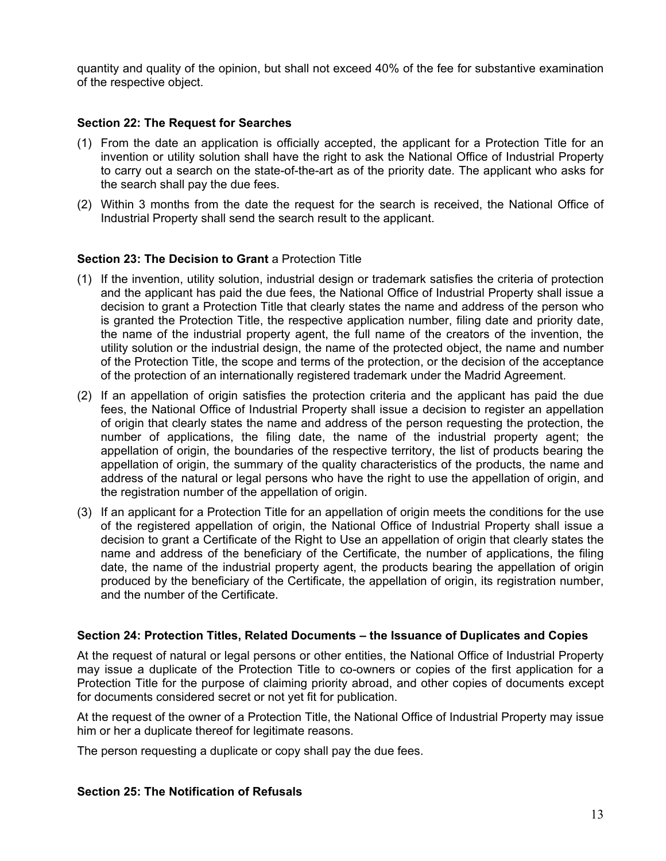quantity and quality of the opinion, but shall not exceed 40% of the fee for substantive examination of the respective object.

### **Section 22: The Request for Searches**

- (1) From the date an application is officially accepted, the applicant for a Protection Title for an invention or utility solution shall have the right to ask the National Office of Industrial Property to carry out a search on the state-of-the-art as of the priority date. The applicant who asks for the search shall pay the due fees.
- (2) Within 3 months from the date the request for the search is received, the National Office of Industrial Property shall send the search result to the applicant.

### **Section 23: The Decision to Grant** a Protection Title

- (1) If the invention, utility solution, industrial design or trademark satisfies the criteria of protection and the applicant has paid the due fees, the National Office of Industrial Property shall issue a decision to grant a Protection Title that clearly states the name and address of the person who is granted the Protection Title, the respective application number, filing date and priority date, the name of the industrial property agent, the full name of the creators of the invention, the utility solution or the industrial design, the name of the protected object, the name and number of the Protection Title, the scope and terms of the protection, or the decision of the acceptance of the protection of an internationally registered trademark under the Madrid Agreement.
- (2) If an appellation of origin satisfies the protection criteria and the applicant has paid the due fees, the National Office of Industrial Property shall issue a decision to register an appellation of origin that clearly states the name and address of the person requesting the protection, the number of applications, the filing date, the name of the industrial property agent; the appellation of origin, the boundaries of the respective territory, the list of products bearing the appellation of origin, the summary of the quality characteristics of the products, the name and address of the natural or legal persons who have the right to use the appellation of origin, and the registration number of the appellation of origin.
- (3) If an applicant for a Protection Title for an appellation of origin meets the conditions for the use of the registered appellation of origin, the National Office of Industrial Property shall issue a decision to grant a Certificate of the Right to Use an appellation of origin that clearly states the name and address of the beneficiary of the Certificate, the number of applications, the filing date, the name of the industrial property agent, the products bearing the appellation of origin produced by the beneficiary of the Certificate, the appellation of origin, its registration number, and the number of the Certificate.

### **Section 24: Protection Titles, Related Documents – the Issuance of Duplicates and Copies**

At the request of natural or legal persons or other entities, the National Office of Industrial Property may issue a duplicate of the Protection Title to co-owners or copies of the first application for a Protection Title for the purpose of claiming priority abroad, and other copies of documents except for documents considered secret or not yet fit for publication.

At the request of the owner of a Protection Title, the National Office of Industrial Property may issue him or her a duplicate thereof for legitimate reasons.

The person requesting a duplicate or copy shall pay the due fees.

### **Section 25: The Notification of Refusals**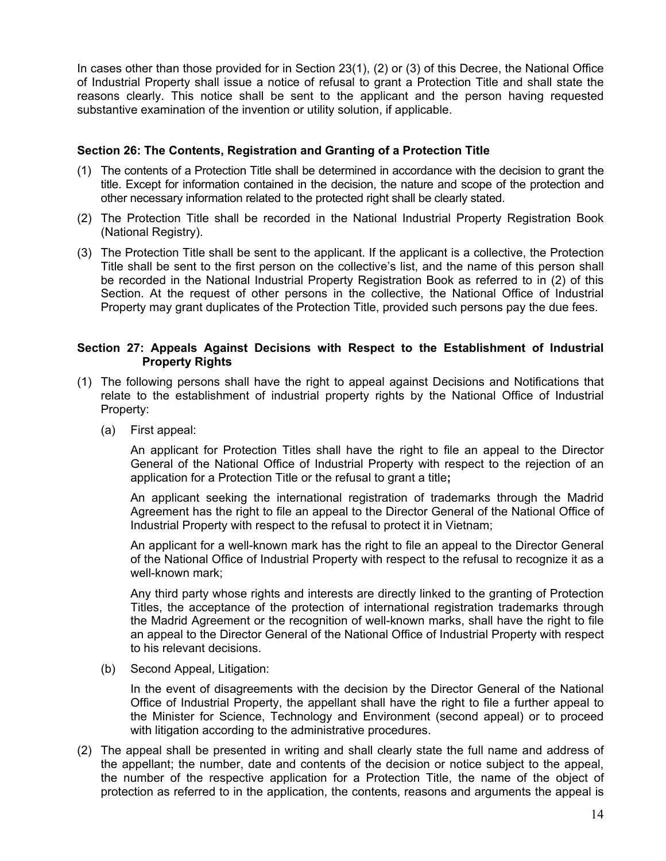In cases other than those provided for in Section 23(1), (2) or (3) of this Decree, the National Office of Industrial Property shall issue a notice of refusal to grant a Protection Title and shall state the reasons clearly. This notice shall be sent to the applicant and the person having requested substantive examination of the invention or utility solution, if applicable.

### **Section 26: The Contents, Registration and Granting of a Protection Title**

- (1) The contents of a Protection Title shall be determined in accordance with the decision to grant the title. Except for information contained in the decision, the nature and scope of the protection and other necessary information related to the protected right shall be clearly stated.
- (2) The Protection Title shall be recorded in the National Industrial Property Registration Book (National Registry).
- (3) The Protection Title shall be sent to the applicant. If the applicant is a collective, the Protection Title shall be sent to the first person on the collective's list, and the name of this person shall be recorded in the National Industrial Property Registration Book as referred to in (2) of this Section. At the request of other persons in the collective, the National Office of Industrial Property may grant duplicates of the Protection Title, provided such persons pay the due fees.

### **Section 27: Appeals Against Decisions with Respect to the Establishment of Industrial Property Rights**

- (1) The following persons shall have the right to appeal against Decisions and Notifications that relate to the establishment of industrial property rights by the National Office of Industrial Property:
	- (a) First appeal:

An applicant for Protection Titles shall have the right to file an appeal to the Director General of the National Office of Industrial Property with respect to the rejection of an application for a Protection Title or the refusal to grant a title**;** 

An applicant seeking the international registration of trademarks through the Madrid Agreement has the right to file an appeal to the Director General of the National Office of Industrial Property with respect to the refusal to protect it in Vietnam;

An applicant for a well-known mark has the right to file an appeal to the Director General of the National Office of Industrial Property with respect to the refusal to recognize it as a well-known mark;

Any third party whose rights and interests are directly linked to the granting of Protection Titles, the acceptance of the protection of international registration trademarks through the Madrid Agreement or the recognition of well-known marks, shall have the right to file an appeal to the Director General of the National Office of Industrial Property with respect to his relevant decisions.

(b) Second Appeal, Litigation:

In the event of disagreements with the decision by the Director General of the National Office of Industrial Property, the appellant shall have the right to file a further appeal to the Minister for Science, Technology and Environment (second appeal) or to proceed with litigation according to the administrative procedures.

(2) The appeal shall be presented in writing and shall clearly state the full name and address of the appellant; the number, date and contents of the decision or notice subject to the appeal, the number of the respective application for a Protection Title, the name of the object of protection as referred to in the application, the contents, reasons and arguments the appeal is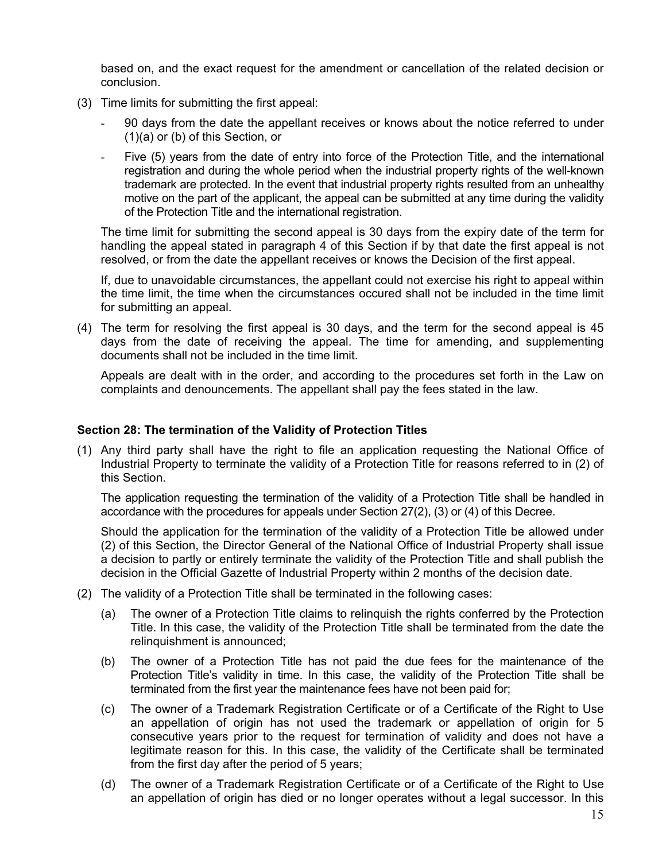based on, and the exact request for the amendment or cancellation of the related decision or conclusion.

- (3) Time limits for submitting the first appeal:
	- 90 days from the date the appellant receives or knows about the notice referred to under (1)(a) or (b) of this Section, or
	- Five (5) years from the date of entry into force of the Protection Title, and the international registration and during the whole period when the industrial property rights of the well-known trademark are protected. In the event that industrial property rights resulted from an unhealthy motive on the part of the applicant, the appeal can be submitted at any time during the validity of the Protection Title and the international registration.

The time limit for submitting the second appeal is 30 days from the expiry date of the term for handling the appeal stated in paragraph 4 of this Section if by that date the first appeal is not resolved, or from the date the appellant receives or knows the Decision of the first appeal.

If, due to unavoidable circumstances, the appellant could not exercise his right to appeal within the time limit, the time when the circumstances occured shall not be included in the time limit for submitting an appeal.

(4) The term for resolving the first appeal is 30 days, and the term for the second appeal is 45 days from the date of receiving the appeal. The time for amending, and supplementing documents shall not be included in the time limit.

Appeals are dealt with in the order, and according to the procedures set forth in the Law on complaints and denouncements. The appellant shall pay the fees stated in the law.

### **Section 28: The termination of the Validity of Protection Titles**

(1) Any third party shall have the right to file an application requesting the National Office of Industrial Property to terminate the validity of a Protection Title for reasons referred to in (2) of this Section.

The application requesting the termination of the validity of a Protection Title shall be handled in accordance with the procedures for appeals under Section 27(2), (3) or (4) of this Decree.

Should the application for the termination of the validity of a Protection Title be allowed under (2) of this Section, the Director General of the National Office of Industrial Property shall issue a decision to partly or entirely terminate the validity of the Protection Title and shall publish the decision in the Official Gazette of Industrial Property within 2 months of the decision date.

- (2) The validity of a Protection Title shall be terminated in the following cases:
	- (a) The owner of a Protection Title claims to relinquish the rights conferred by the Protection Title. In this case, the validity of the Protection Title shall be terminated from the date the relinquishment is announced;
	- (b) The owner of a Protection Title has not paid the due fees for the maintenance of the Protection Title's validity in time. In this case, the validity of the Protection Title shall be terminated from the first year the maintenance fees have not been paid for;
	- (c) The owner of a Trademark Registration Certificate or of a Certificate of the Right to Use an appellation of origin has not used the trademark or appellation of origin for 5 consecutive years prior to the request for termination of validity and does not have a legitimate reason for this. In this case, the validity of the Certificate shall be terminated from the first day after the period of 5 years;
	- (d) The owner of a Trademark Registration Certificate or of a Certificate of the Right to Use an appellation of origin has died or no longer operates without a legal successor. In this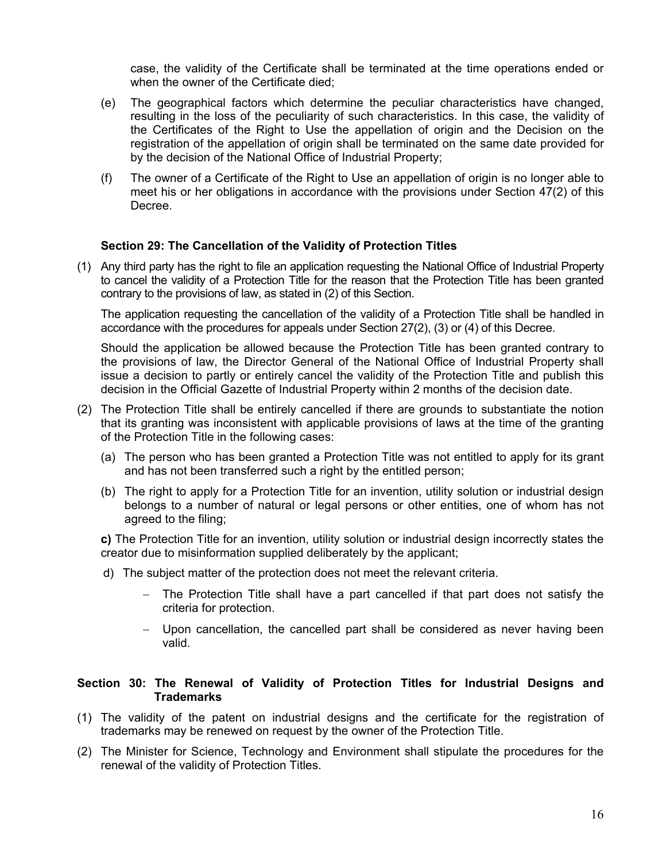case, the validity of the Certificate shall be terminated at the time operations ended or when the owner of the Certificate died;

- (e) The geographical factors which determine the peculiar characteristics have changed, resulting in the loss of the peculiarity of such characteristics. In this case, the validity of the Certificates of the Right to Use the appellation of origin and the Decision on the registration of the appellation of origin shall be terminated on the same date provided for by the decision of the National Office of Industrial Property;
- (f) The owner of a Certificate of the Right to Use an appellation of origin is no longer able to meet his or her obligations in accordance with the provisions under Section 47(2) of this Decree.

### **Section 29: The Cancellation of the Validity of Protection Titles**

(1) Any third party has the right to file an application requesting the National Office of Industrial Property to cancel the validity of a Protection Title for the reason that the Protection Title has been granted contrary to the provisions of law, as stated in (2) of this Section.

The application requesting the cancellation of the validity of a Protection Title shall be handled in accordance with the procedures for appeals under Section 27(2), (3) or (4) of this Decree.

Should the application be allowed because the Protection Title has been granted contrary to the provisions of law, the Director General of the National Office of Industrial Property shall issue a decision to partly or entirely cancel the validity of the Protection Title and publish this decision in the Official Gazette of Industrial Property within 2 months of the decision date.

- (2) The Protection Title shall be entirely cancelled if there are grounds to substantiate the notion that its granting was inconsistent with applicable provisions of laws at the time of the granting of the Protection Title in the following cases:
	- (a) The person who has been granted a Protection Title was not entitled to apply for its grant and has not been transferred such a right by the entitled person;
	- (b) The right to apply for a Protection Title for an invention, utility solution or industrial design belongs to a number of natural or legal persons or other entities, one of whom has not agreed to the filing;

**c)** The Protection Title for an invention, utility solution or industrial design incorrectly states the creator due to misinformation supplied deliberately by the applicant;

- d) The subject matter of the protection does not meet the relevant criteria.
	- − The Protection Title shall have a part cancelled if that part does not satisfy the criteria for protection.
	- − Upon cancellation, the cancelled part shall be considered as never having been valid.

### **Section 30: The Renewal of Validity of Protection Titles for Industrial Designs and Trademarks**

- (1) The validity of the patent on industrial designs and the certificate for the registration of trademarks may be renewed on request by the owner of the Protection Title.
- (2) The Minister for Science, Technology and Environment shall stipulate the procedures for the renewal of the validity of Protection Titles.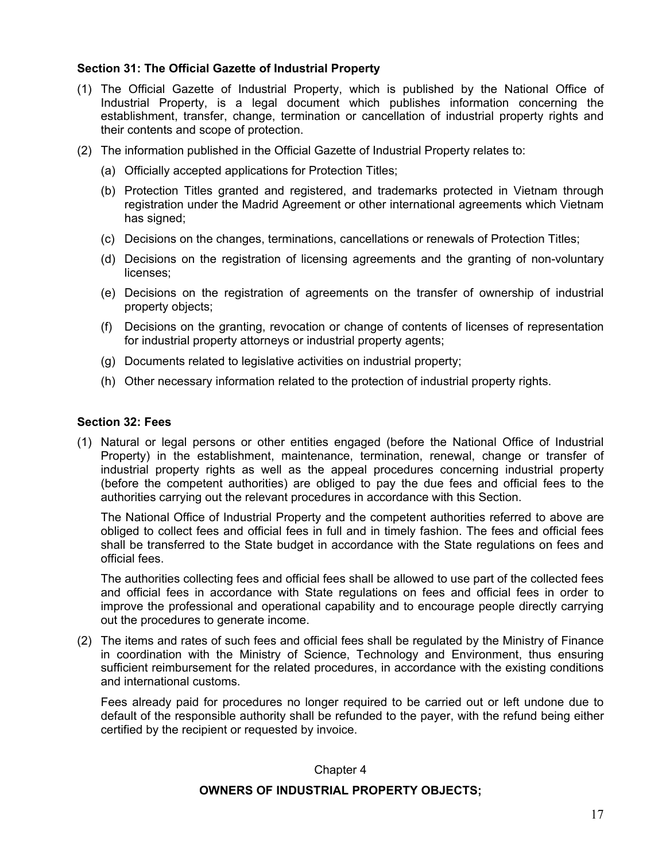### **Section 31: The Official Gazette of Industrial Property**

- (1) The Official Gazette of Industrial Property, which is published by the National Office of Industrial Property, is a legal document which publishes information concerning the establishment, transfer, change, termination or cancellation of industrial property rights and their contents and scope of protection.
- (2) The information published in the Official Gazette of Industrial Property relates to:
	- (a) Officially accepted applications for Protection Titles;
	- (b) Protection Titles granted and registered, and trademarks protected in Vietnam through registration under the Madrid Agreement or other international agreements which Vietnam has signed;
	- (c) Decisions on the changes, terminations, cancellations or renewals of Protection Titles;
	- (d) Decisions on the registration of licensing agreements and the granting of non-voluntary licenses;
	- (e) Decisions on the registration of agreements on the transfer of ownership of industrial property objects;
	- (f) Decisions on the granting, revocation or change of contents of licenses of representation for industrial property attorneys or industrial property agents;
	- (g) Documents related to legislative activities on industrial property;
	- (h) Other necessary information related to the protection of industrial property rights.

### **Section 32: Fees**

(1) Natural or legal persons or other entities engaged (before the National Office of Industrial Property) in the establishment, maintenance, termination, renewal, change or transfer of industrial property rights as well as the appeal procedures concerning industrial property (before the competent authorities) are obliged to pay the due fees and official fees to the authorities carrying out the relevant procedures in accordance with this Section.

The National Office of Industrial Property and the competent authorities referred to above are obliged to collect fees and official fees in full and in timely fashion. The fees and official fees shall be transferred to the State budget in accordance with the State regulations on fees and official fees.

The authorities collecting fees and official fees shall be allowed to use part of the collected fees and official fees in accordance with State regulations on fees and official fees in order to improve the professional and operational capability and to encourage people directly carrying out the procedures to generate income.

(2) The items and rates of such fees and official fees shall be regulated by the Ministry of Finance in coordination with the Ministry of Science, Technology and Environment, thus ensuring sufficient reimbursement for the related procedures, in accordance with the existing conditions and international customs.

Fees already paid for procedures no longer required to be carried out or left undone due to default of the responsible authority shall be refunded to the payer, with the refund being either certified by the recipient or requested by invoice.

### Chapter 4

### **OWNERS OF INDUSTRIAL PROPERTY OBJECTS;**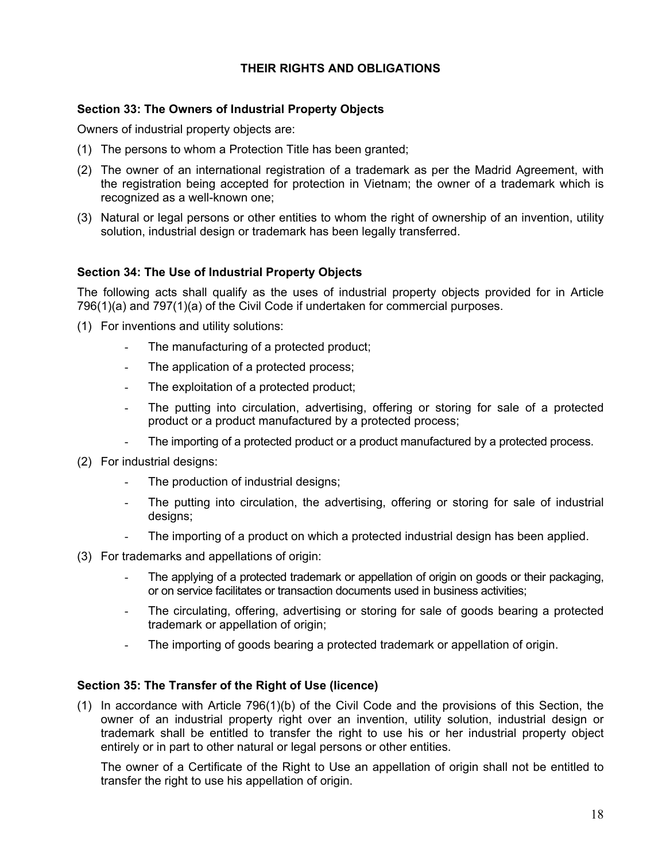# **THEIR RIGHTS AND OBLIGATIONS**

### **Section 33: The Owners of Industrial Property Objects**

Owners of industrial property objects are:

- (1) The persons to whom a Protection Title has been granted;
- (2) The owner of an international registration of a trademark as per the Madrid Agreement, with the registration being accepted for protection in Vietnam; the owner of a trademark which is recognized as a well-known one;
- (3) Natural or legal persons or other entities to whom the right of ownership of an invention, utility solution, industrial design or trademark has been legally transferred.

### **Section 34: The Use of Industrial Property Objects**

The following acts shall qualify as the uses of industrial property objects provided for in Article 796(1)(a) and 797(1)(a) of the Civil Code if undertaken for commercial purposes.

- (1) For inventions and utility solutions:
	- The manufacturing of a protected product;
	- The application of a protected process;
	- The exploitation of a protected product;
	- The putting into circulation, advertising, offering or storing for sale of a protected product or a product manufactured by a protected process;
	- The importing of a protected product or a product manufactured by a protected process.
- (2) For industrial designs:
	- The production of industrial designs;
	- The putting into circulation, the advertising, offering or storing for sale of industrial designs;
	- The importing of a product on which a protected industrial design has been applied.
- (3) For trademarks and appellations of origin:
	- The applying of a protected trademark or appellation of origin on goods or their packaging, or on service facilitates or transaction documents used in business activities;
	- The circulating, offering, advertising or storing for sale of goods bearing a protected trademark or appellation of origin;
	- The importing of goods bearing a protected trademark or appellation of origin.

### **Section 35: The Transfer of the Right of Use (licence)**

(1) In accordance with Article 796(1)(b) of the Civil Code and the provisions of this Section, the owner of an industrial property right over an invention, utility solution, industrial design or trademark shall be entitled to transfer the right to use his or her industrial property object entirely or in part to other natural or legal persons or other entities.

The owner of a Certificate of the Right to Use an appellation of origin shall not be entitled to transfer the right to use his appellation of origin.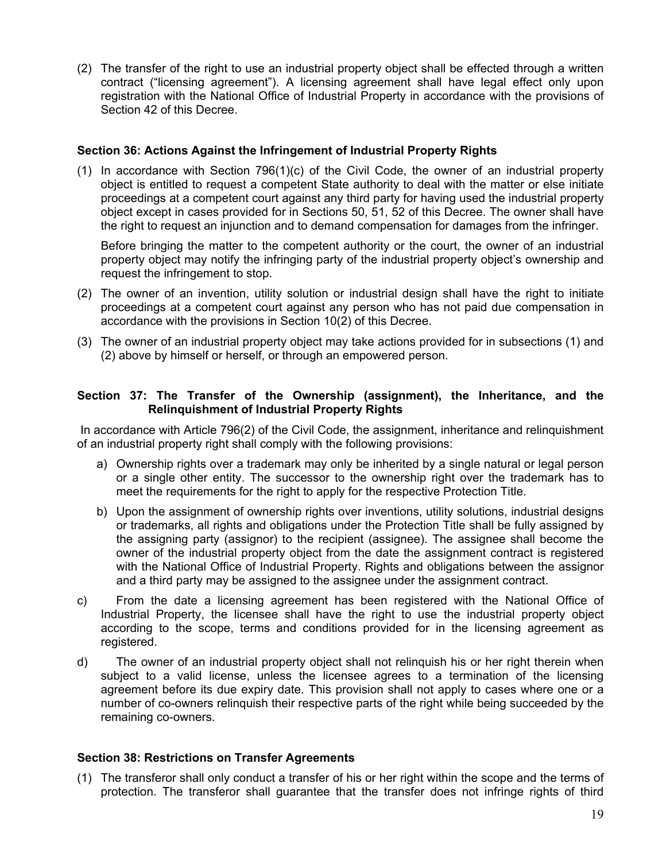(2) The transfer of the right to use an industrial property object shall be effected through a written contract ("licensing agreement"). A licensing agreement shall have legal effect only upon registration with the National Office of Industrial Property in accordance with the provisions of Section 42 of this Decree.

### **Section 36: Actions Against the Infringement of Industrial Property Rights**

(1) In accordance with Section 796(1)(c) of the Civil Code, the owner of an industrial property object is entitled to request a competent State authority to deal with the matter or else initiate proceedings at a competent court against any third party for having used the industrial property object except in cases provided for in Sections 50, 51, 52 of this Decree. The owner shall have the right to request an injunction and to demand compensation for damages from the infringer.

Before bringing the matter to the competent authority or the court, the owner of an industrial property object may notify the infringing party of the industrial property object's ownership and request the infringement to stop.

- (2) The owner of an invention, utility solution or industrial design shall have the right to initiate proceedings at a competent court against any person who has not paid due compensation in accordance with the provisions in Section 10(2) of this Decree.
- (3) The owner of an industrial property object may take actions provided for in subsections (1) and (2) above by himself or herself, or through an empowered person.

### **Section 37: The Transfer of the Ownership (assignment), the Inheritance, and the Relinquishment of Industrial Property Rights**

 In accordance with Article 796(2) of the Civil Code, the assignment, inheritance and relinquishment of an industrial property right shall comply with the following provisions:

- a) Ownership rights over a trademark may only be inherited by a single natural or legal person or a single other entity. The successor to the ownership right over the trademark has to meet the requirements for the right to apply for the respective Protection Title.
- b) Upon the assignment of ownership rights over inventions, utility solutions, industrial designs or trademarks, all rights and obligations under the Protection Title shall be fully assigned by the assigning party (assignor) to the recipient (assignee). The assignee shall become the owner of the industrial property object from the date the assignment contract is registered with the National Office of Industrial Property. Rights and obligations between the assignor and a third party may be assigned to the assignee under the assignment contract.
- c) From the date a licensing agreement has been registered with the National Office of Industrial Property, the licensee shall have the right to use the industrial property object according to the scope, terms and conditions provided for in the licensing agreement as registered.
- d) The owner of an industrial property object shall not relinquish his or her right therein when subject to a valid license, unless the licensee agrees to a termination of the licensing agreement before its due expiry date. This provision shall not apply to cases where one or a number of co-owners relinquish their respective parts of the right while being succeeded by the remaining co-owners.

### **Section 38: Restrictions on Transfer Agreements**

(1) The transferor shall only conduct a transfer of his or her right within the scope and the terms of protection. The transferor shall guarantee that the transfer does not infringe rights of third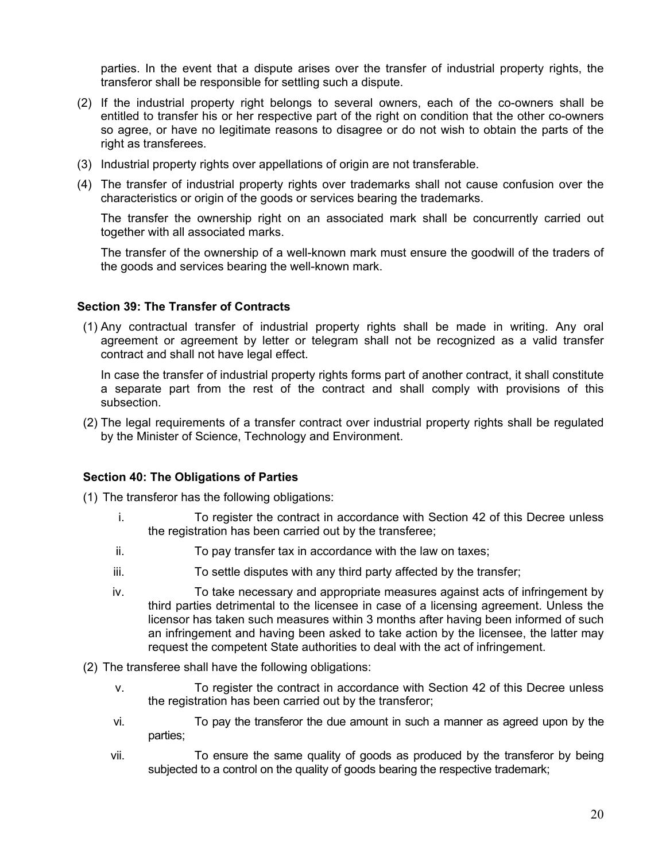parties. In the event that a dispute arises over the transfer of industrial property rights, the transferor shall be responsible for settling such a dispute.

- (2) If the industrial property right belongs to several owners, each of the co-owners shall be entitled to transfer his or her respective part of the right on condition that the other co-owners so agree, or have no legitimate reasons to disagree or do not wish to obtain the parts of the right as transferees.
- (3) Industrial property rights over appellations of origin are not transferable.
- (4) The transfer of industrial property rights over trademarks shall not cause confusion over the characteristics or origin of the goods or services bearing the trademarks.

The transfer the ownership right on an associated mark shall be concurrently carried out together with all associated marks.

The transfer of the ownership of a well-known mark must ensure the goodwill of the traders of the goods and services bearing the well-known mark.

### **Section 39: The Transfer of Contracts**

(1) Any contractual transfer of industrial property rights shall be made in writing. Any oral agreement or agreement by letter or telegram shall not be recognized as a valid transfer contract and shall not have legal effect.

In case the transfer of industrial property rights forms part of another contract, it shall constitute a separate part from the rest of the contract and shall comply with provisions of this subsection.

(2) The legal requirements of a transfer contract over industrial property rights shall be regulated by the Minister of Science, Technology and Environment.

### **Section 40: The Obligations of Parties**

(1) The transferor has the following obligations:

- i. To register the contract in accordance with Section 42 of this Decree unless the registration has been carried out by the transferee;
- ii. To pay transfer tax in accordance with the law on taxes;
- iii. To settle disputes with any third party affected by the transfer;
- iv. To take necessary and appropriate measures against acts of infringement by third parties detrimental to the licensee in case of a licensing agreement. Unless the licensor has taken such measures within 3 months after having been informed of such an infringement and having been asked to take action by the licensee, the latter may request the competent State authorities to deal with the act of infringement.
- (2) The transferee shall have the following obligations:
	- v. To register the contract in accordance with Section 42 of this Decree unless the registration has been carried out by the transferor;
	- vi. To pay the transferor the due amount in such a manner as agreed upon by the parties;
	- vii. To ensure the same quality of goods as produced by the transferor by being subjected to a control on the quality of goods bearing the respective trademark;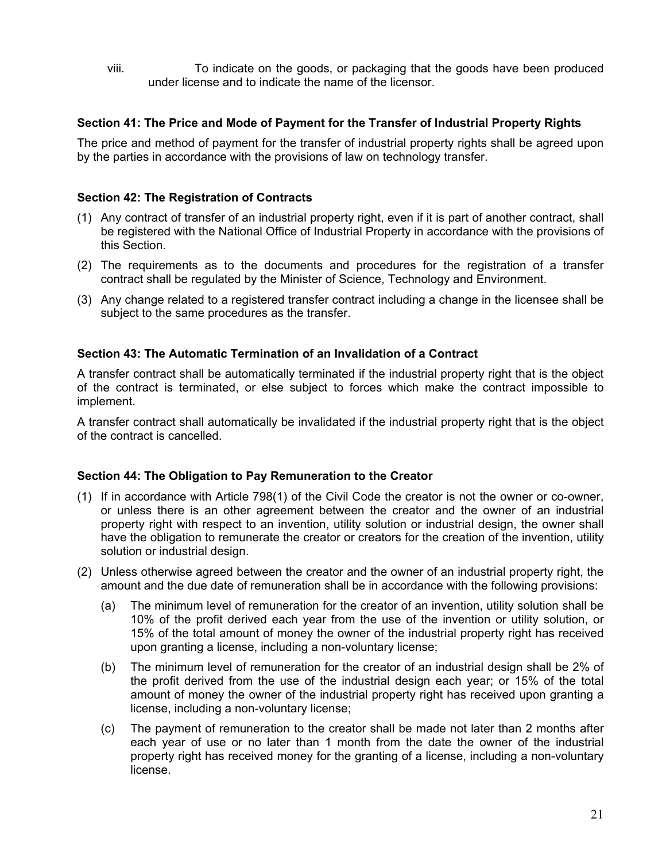viii. To indicate on the goods, or packaging that the goods have been produced under license and to indicate the name of the licensor.

### **Section 41: The Price and Mode of Payment for the Transfer of Industrial Property Rights**

The price and method of payment for the transfer of industrial property rights shall be agreed upon by the parties in accordance with the provisions of law on technology transfer.

### **Section 42: The Registration of Contracts**

- (1) Any contract of transfer of an industrial property right, even if it is part of another contract, shall be registered with the National Office of Industrial Property in accordance with the provisions of this Section.
- (2) The requirements as to the documents and procedures for the registration of a transfer contract shall be regulated by the Minister of Science, Technology and Environment.
- (3) Any change related to a registered transfer contract including a change in the licensee shall be subject to the same procedures as the transfer.

### **Section 43: The Automatic Termination of an Invalidation of a Contract**

A transfer contract shall be automatically terminated if the industrial property right that is the object of the contract is terminated, or else subject to forces which make the contract impossible to implement.

A transfer contract shall automatically be invalidated if the industrial property right that is the object of the contract is cancelled.

### **Section 44: The Obligation to Pay Remuneration to the Creator**

- (1) If in accordance with Article 798(1) of the Civil Code the creator is not the owner or co-owner, or unless there is an other agreement between the creator and the owner of an industrial property right with respect to an invention, utility solution or industrial design, the owner shall have the obligation to remunerate the creator or creators for the creation of the invention, utility solution or industrial design.
- (2) Unless otherwise agreed between the creator and the owner of an industrial property right, the amount and the due date of remuneration shall be in accordance with the following provisions:
	- (a) The minimum level of remuneration for the creator of an invention, utility solution shall be 10% of the profit derived each year from the use of the invention or utility solution, or 15% of the total amount of money the owner of the industrial property right has received upon granting a license, including a non-voluntary license;
	- (b) The minimum level of remuneration for the creator of an industrial design shall be 2% of the profit derived from the use of the industrial design each year; or 15% of the total amount of money the owner of the industrial property right has received upon granting a license, including a non-voluntary license;
	- (c) The payment of remuneration to the creator shall be made not later than 2 months after each year of use or no later than 1 month from the date the owner of the industrial property right has received money for the granting of a license, including a non-voluntary license.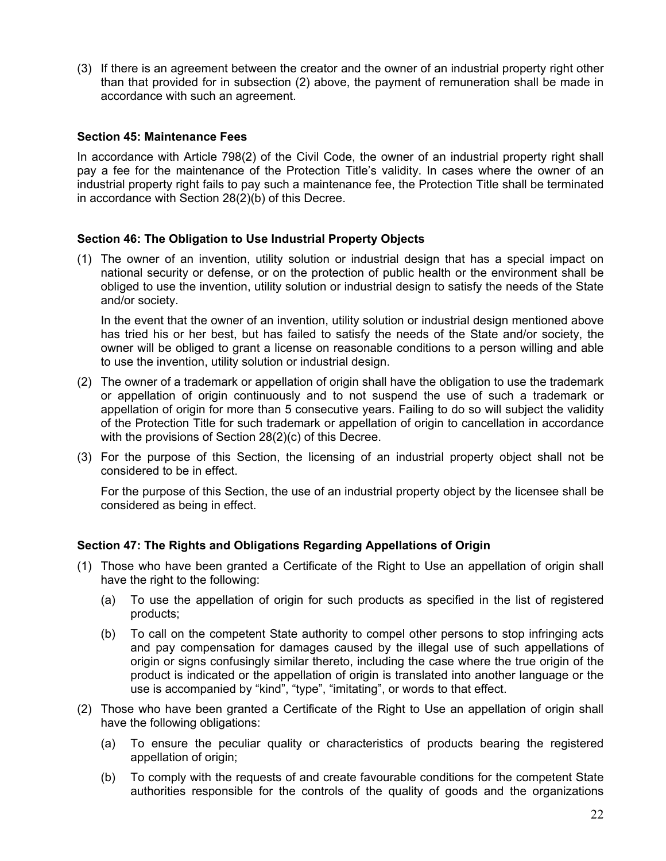(3) If there is an agreement between the creator and the owner of an industrial property right other than that provided for in subsection (2) above, the payment of remuneration shall be made in accordance with such an agreement.

### **Section 45: Maintenance Fees**

In accordance with Article 798(2) of the Civil Code, the owner of an industrial property right shall pay a fee for the maintenance of the Protection Title's validity. In cases where the owner of an industrial property right fails to pay such a maintenance fee, the Protection Title shall be terminated in accordance with Section 28(2)(b) of this Decree.

### **Section 46: The Obligation to Use Industrial Property Objects**

(1) The owner of an invention, utility solution or industrial design that has a special impact on national security or defense, or on the protection of public health or the environment shall be obliged to use the invention, utility solution or industrial design to satisfy the needs of the State and/or society.

In the event that the owner of an invention, utility solution or industrial design mentioned above has tried his or her best, but has failed to satisfy the needs of the State and/or society, the owner will be obliged to grant a license on reasonable conditions to a person willing and able to use the invention, utility solution or industrial design.

- (2) The owner of a trademark or appellation of origin shall have the obligation to use the trademark or appellation of origin continuously and to not suspend the use of such a trademark or appellation of origin for more than 5 consecutive years. Failing to do so will subject the validity of the Protection Title for such trademark or appellation of origin to cancellation in accordance with the provisions of Section 28(2)(c) of this Decree.
- (3) For the purpose of this Section, the licensing of an industrial property object shall not be considered to be in effect.

For the purpose of this Section, the use of an industrial property object by the licensee shall be considered as being in effect.

### **Section 47: The Rights and Obligations Regarding Appellations of Origin**

- (1) Those who have been granted a Certificate of the Right to Use an appellation of origin shall have the right to the following:
	- (a) To use the appellation of origin for such products as specified in the list of registered products;
	- (b) To call on the competent State authority to compel other persons to stop infringing acts and pay compensation for damages caused by the illegal use of such appellations of origin or signs confusingly similar thereto, including the case where the true origin of the product is indicated or the appellation of origin is translated into another language or the use is accompanied by "kind", "type", "imitating", or words to that effect.
- (2) Those who have been granted a Certificate of the Right to Use an appellation of origin shall have the following obligations:
	- (a) To ensure the peculiar quality or characteristics of products bearing the registered appellation of origin;
	- (b) To comply with the requests of and create favourable conditions for the competent State authorities responsible for the controls of the quality of goods and the organizations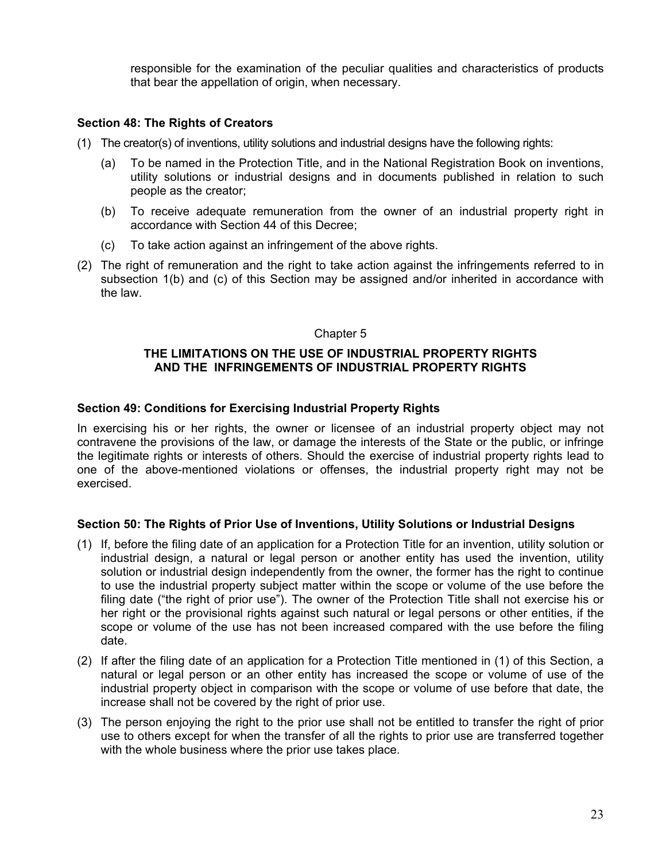responsible for the examination of the peculiar qualities and characteristics of products that bear the appellation of origin, when necessary.

### **Section 48: The Rights of Creators**

- (1) The creator(s) of inventions, utility solutions and industrial designs have the following rights:
	- (a) To be named in the Protection Title, and in the National Registration Book on inventions, utility solutions or industrial designs and in documents published in relation to such people as the creator;
	- (b) To receive adequate remuneration from the owner of an industrial property right in accordance with Section 44 of this Decree;
	- (c) To take action against an infringement of the above rights.
- (2) The right of remuneration and the right to take action against the infringements referred to in subsection 1(b) and (c) of this Section may be assigned and/or inherited in accordance with the law.

### Chapter 5

### **THE LIMITATIONS ON THE USE OF INDUSTRIAL PROPERTY RIGHTS AND THE INFRINGEMENTS OF INDUSTRIAL PROPERTY RIGHTS**

### **Section 49: Conditions for Exercising Industrial Property Rights**

In exercising his or her rights, the owner or licensee of an industrial property object may not contravene the provisions of the law, or damage the interests of the State or the public, or infringe the legitimate rights or interests of others. Should the exercise of industrial property rights lead to one of the above-mentioned violations or offenses, the industrial property right may not be exercised.

### **Section 50: The Rights of Prior Use of Inventions, Utility Solutions or Industrial Designs**

- (1) If, before the filing date of an application for a Protection Title for an invention, utility solution or industrial design, a natural or legal person or another entity has used the invention, utility solution or industrial design independently from the owner, the former has the right to continue to use the industrial property subject matter within the scope or volume of the use before the filing date ("the right of prior use"). The owner of the Protection Title shall not exercise his or her right or the provisional rights against such natural or legal persons or other entities, if the scope or volume of the use has not been increased compared with the use before the filing date.
- (2) If after the filing date of an application for a Protection Title mentioned in (1) of this Section, a natural or legal person or an other entity has increased the scope or volume of use of the industrial property object in comparison with the scope or volume of use before that date, the increase shall not be covered by the right of prior use.
- (3) The person enjoying the right to the prior use shall not be entitled to transfer the right of prior use to others except for when the transfer of all the rights to prior use are transferred together with the whole business where the prior use takes place.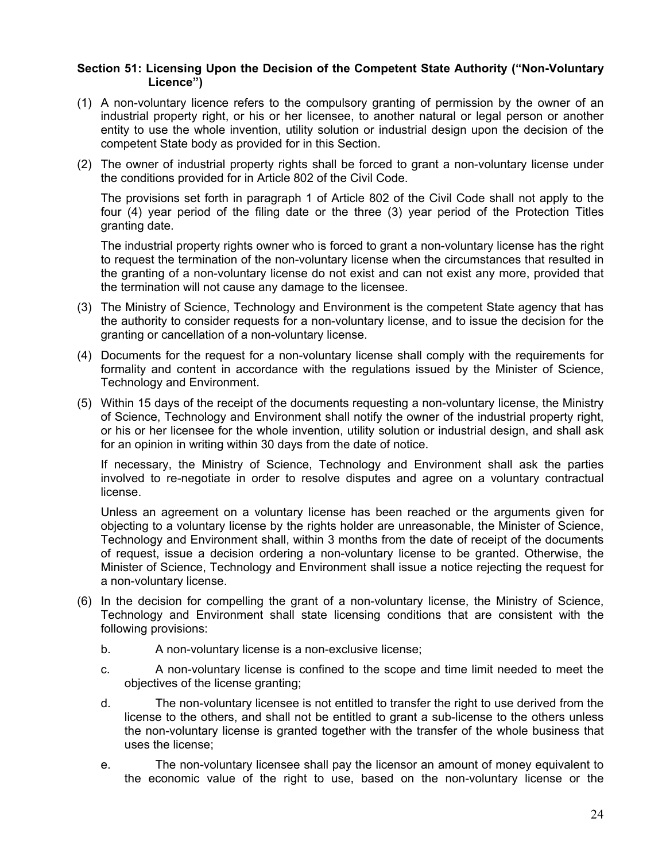### **Section 51: Licensing Upon the Decision of the Competent State Authority ("Non-Voluntary Licence")**

- (1) A non-voluntary licence refers to the compulsory granting of permission by the owner of an industrial property right, or his or her licensee, to another natural or legal person or another entity to use the whole invention, utility solution or industrial design upon the decision of the competent State body as provided for in this Section.
- (2) The owner of industrial property rights shall be forced to grant a non-voluntary license under the conditions provided for in Article 802 of the Civil Code.

The provisions set forth in paragraph 1 of Article 802 of the Civil Code shall not apply to the four (4) year period of the filing date or the three (3) year period of the Protection Titles granting date.

The industrial property rights owner who is forced to grant a non-voluntary license has the right to request the termination of the non-voluntary license when the circumstances that resulted in the granting of a non-voluntary license do not exist and can not exist any more, provided that the termination will not cause any damage to the licensee.

- (3) The Ministry of Science, Technology and Environment is the competent State agency that has the authority to consider requests for a non-voluntary license, and to issue the decision for the granting or cancellation of a non-voluntary license.
- (4) Documents for the request for a non-voluntary license shall comply with the requirements for formality and content in accordance with the regulations issued by the Minister of Science, Technology and Environment.
- (5) Within 15 days of the receipt of the documents requesting a non-voluntary license, the Ministry of Science, Technology and Environment shall notify the owner of the industrial property right, or his or her licensee for the whole invention, utility solution or industrial design, and shall ask for an opinion in writing within 30 days from the date of notice.

If necessary, the Ministry of Science, Technology and Environment shall ask the parties involved to re-negotiate in order to resolve disputes and agree on a voluntary contractual license.

Unless an agreement on a voluntary license has been reached or the arguments given for objecting to a voluntary license by the rights holder are unreasonable, the Minister of Science, Technology and Environment shall, within 3 months from the date of receipt of the documents of request, issue a decision ordering a non-voluntary license to be granted. Otherwise, the Minister of Science, Technology and Environment shall issue a notice rejecting the request for a non-voluntary license.

- (6) In the decision for compelling the grant of a non-voluntary license, the Ministry of Science, Technology and Environment shall state licensing conditions that are consistent with the following provisions:
	- b. A non-voluntary license is a non-exclusive license;
	- c. A non-voluntary license is confined to the scope and time limit needed to meet the objectives of the license granting;
	- d. The non-voluntary licensee is not entitled to transfer the right to use derived from the license to the others, and shall not be entitled to grant a sub-license to the others unless the non-voluntary license is granted together with the transfer of the whole business that uses the license;
	- e. The non-voluntary licensee shall pay the licensor an amount of money equivalent to the economic value of the right to use, based on the non-voluntary license or the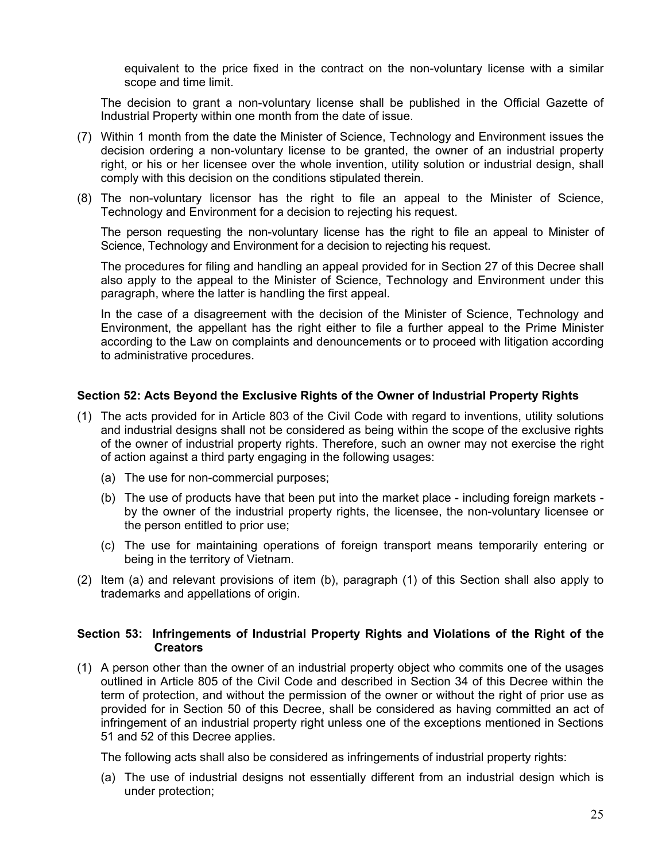equivalent to the price fixed in the contract on the non-voluntary license with a similar scope and time limit.

The decision to grant a non-voluntary license shall be published in the Official Gazette of Industrial Property within one month from the date of issue.

- (7) Within 1 month from the date the Minister of Science, Technology and Environment issues the decision ordering a non-voluntary license to be granted, the owner of an industrial property right, or his or her licensee over the whole invention, utility solution or industrial design, shall comply with this decision on the conditions stipulated therein.
- (8) The non-voluntary licensor has the right to file an appeal to the Minister of Science, Technology and Environment for a decision to rejecting his request.

The person requesting the non-voluntary license has the right to file an appeal to Minister of Science, Technology and Environment for a decision to rejecting his request.

The procedures for filing and handling an appeal provided for in Section 27 of this Decree shall also apply to the appeal to the Minister of Science, Technology and Environment under this paragraph, where the latter is handling the first appeal.

In the case of a disagreement with the decision of the Minister of Science, Technology and Environment, the appellant has the right either to file a further appeal to the Prime Minister according to the Law on complaints and denouncements or to proceed with litigation according to administrative procedures.

### **Section 52: Acts Beyond the Exclusive Rights of the Owner of Industrial Property Rights**

- (1) The acts provided for in Article 803 of the Civil Code with regard to inventions, utility solutions and industrial designs shall not be considered as being within the scope of the exclusive rights of the owner of industrial property rights. Therefore, such an owner may not exercise the right of action against a third party engaging in the following usages:
	- (a) The use for non-commercial purposes;
	- (b) The use of products have that been put into the market place including foreign markets by the owner of the industrial property rights, the licensee, the non-voluntary licensee or the person entitled to prior use;
	- (c) The use for maintaining operations of foreign transport means temporarily entering or being in the territory of Vietnam.
- (2) Item (a) and relevant provisions of item (b), paragraph (1) of this Section shall also apply to trademarks and appellations of origin.

### **Section 53: Infringements of Industrial Property Rights and Violations of the Right of the Creators**

(1) A person other than the owner of an industrial property object who commits one of the usages outlined in Article 805 of the Civil Code and described in Section 34 of this Decree within the term of protection, and without the permission of the owner or without the right of prior use as provided for in Section 50 of this Decree, shall be considered as having committed an act of infringement of an industrial property right unless one of the exceptions mentioned in Sections 51 and 52 of this Decree applies.

The following acts shall also be considered as infringements of industrial property rights:

(a) The use of industrial designs not essentially different from an industrial design which is under protection;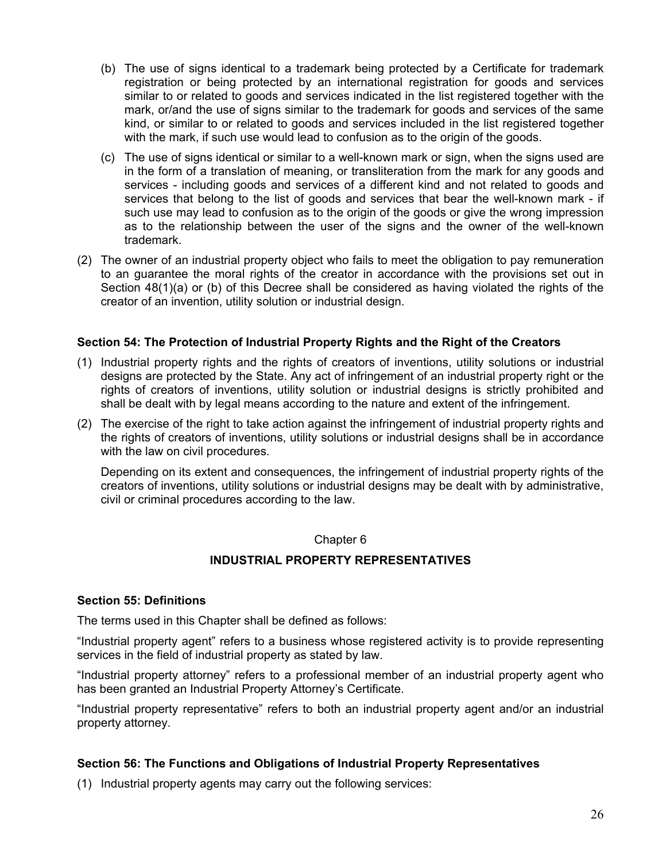- (b) The use of signs identical to a trademark being protected by a Certificate for trademark registration or being protected by an international registration for goods and services similar to or related to goods and services indicated in the list registered together with the mark, or/and the use of signs similar to the trademark for goods and services of the same kind, or similar to or related to goods and services included in the list registered together with the mark, if such use would lead to confusion as to the origin of the goods.
- (c) The use of signs identical or similar to a well-known mark or sign, when the signs used are in the form of a translation of meaning, or transliteration from the mark for any goods and services - including goods and services of a different kind and not related to goods and services that belong to the list of goods and services that bear the well-known mark - if such use may lead to confusion as to the origin of the goods or give the wrong impression as to the relationship between the user of the signs and the owner of the well-known trademark.
- (2) The owner of an industrial property object who fails to meet the obligation to pay remuneration to an guarantee the moral rights of the creator in accordance with the provisions set out in Section 48(1)(a) or (b) of this Decree shall be considered as having violated the rights of the creator of an invention, utility solution or industrial design.

### **Section 54: The Protection of Industrial Property Rights and the Right of the Creators**

- (1) Industrial property rights and the rights of creators of inventions, utility solutions or industrial designs are protected by the State. Any act of infringement of an industrial property right or the rights of creators of inventions, utility solution or industrial designs is strictly prohibited and shall be dealt with by legal means according to the nature and extent of the infringement.
- (2) The exercise of the right to take action against the infringement of industrial property rights and the rights of creators of inventions, utility solutions or industrial designs shall be in accordance with the law on civil procedures.

Depending on its extent and consequences, the infringement of industrial property rights of the creators of inventions, utility solutions or industrial designs may be dealt with by administrative, civil or criminal procedures according to the law.

### Chapter 6

### **INDUSTRIAL PROPERTY REPRESENTATIVES**

### **Section 55: Definitions**

The terms used in this Chapter shall be defined as follows:

"Industrial property agent" refers to a business whose registered activity is to provide representing services in the field of industrial property as stated by law.

"Industrial property attorney" refers to a professional member of an industrial property agent who has been granted an Industrial Property Attorney's Certificate.

"Industrial property representative" refers to both an industrial property agent and/or an industrial property attorney.

### **Section 56: The Functions and Obligations of Industrial Property Representatives**

(1) Industrial property agents may carry out the following services: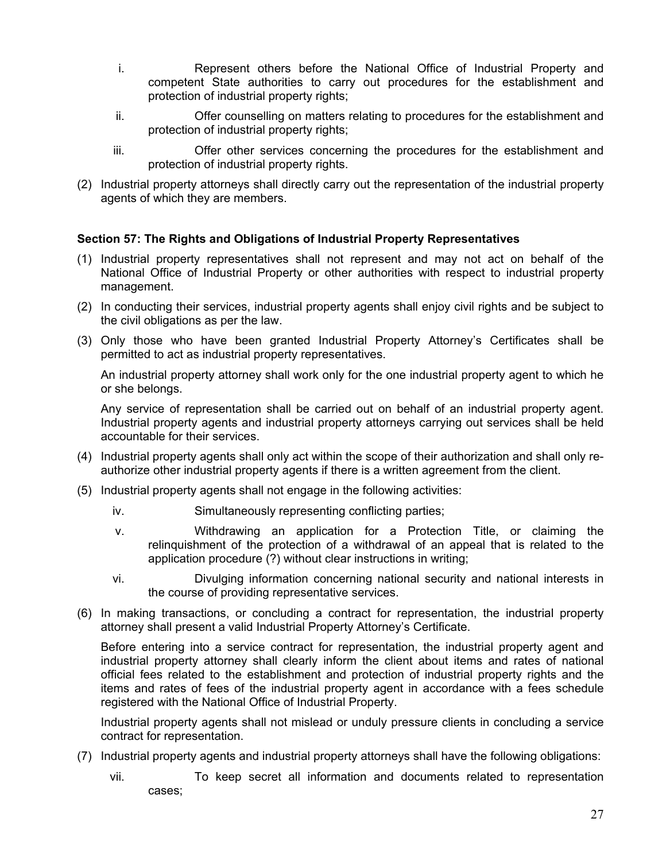- i. Represent others before the National Office of Industrial Property and competent State authorities to carry out procedures for the establishment and protection of industrial property rights;
- ii. Offer counselling on matters relating to procedures for the establishment and protection of industrial property rights;
- iii. Offer other services concerning the procedures for the establishment and protection of industrial property rights.
- (2) Industrial property attorneys shall directly carry out the representation of the industrial property agents of which they are members.

### **Section 57: The Rights and Obligations of Industrial Property Representatives**

- (1) Industrial property representatives shall not represent and may not act on behalf of the National Office of Industrial Property or other authorities with respect to industrial property management.
- (2) In conducting their services, industrial property agents shall enjoy civil rights and be subject to the civil obligations as per the law.
- (3) Only those who have been granted Industrial Property Attorney's Certificates shall be permitted to act as industrial property representatives.

An industrial property attorney shall work only for the one industrial property agent to which he or she belongs.

Any service of representation shall be carried out on behalf of an industrial property agent. Industrial property agents and industrial property attorneys carrying out services shall be held accountable for their services.

- (4) Industrial property agents shall only act within the scope of their authorization and shall only reauthorize other industrial property agents if there is a written agreement from the client.
- (5) Industrial property agents shall not engage in the following activities:
	- iv. Simultaneously representing conflicting parties;
	- v. Withdrawing an application for a Protection Title, or claiming the relinquishment of the protection of a withdrawal of an appeal that is related to the application procedure (?) without clear instructions in writing;
	- vi. Divulging information concerning national security and national interests in the course of providing representative services.
- (6) In making transactions, or concluding a contract for representation, the industrial property attorney shall present a valid Industrial Property Attorney's Certificate.

Before entering into a service contract for representation, the industrial property agent and industrial property attorney shall clearly inform the client about items and rates of national official fees related to the establishment and protection of industrial property rights and the items and rates of fees of the industrial property agent in accordance with a fees schedule registered with the National Office of Industrial Property.

Industrial property agents shall not mislead or unduly pressure clients in concluding a service contract for representation.

(7) Industrial property agents and industrial property attorneys shall have the following obligations:

vii. To keep secret all information and documents related to representation cases;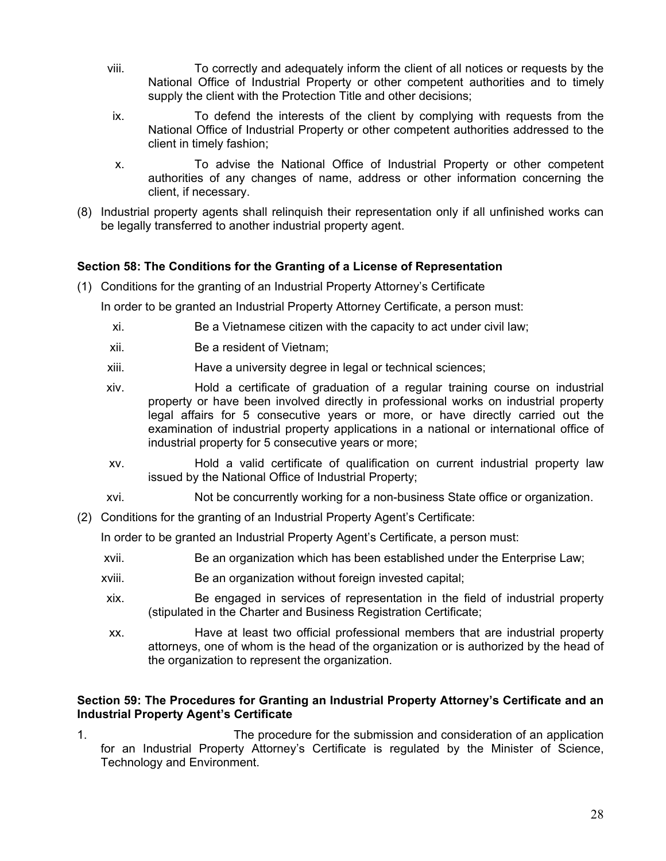- viii. To correctly and adequately inform the client of all notices or requests by the National Office of Industrial Property or other competent authorities and to timely supply the client with the Protection Title and other decisions;
- ix. To defend the interests of the client by complying with requests from the National Office of Industrial Property or other competent authorities addressed to the client in timely fashion;
- x. To advise the National Office of Industrial Property or other competent authorities of any changes of name, address or other information concerning the client, if necessary.
- (8) Industrial property agents shall relinquish their representation only if all unfinished works can be legally transferred to another industrial property agent.

# **Section 58: The Conditions for the Granting of a License of Representation**

(1) Conditions for the granting of an Industrial Property Attorney's Certificate

In order to be granted an Industrial Property Attorney Certificate, a person must:

- xi. Be a Vietnamese citizen with the capacity to act under civil law;
- xii. Be a resident of Vietnam;
- xiii. Have a university degree in legal or technical sciences;
- xiv. Hold a certificate of graduation of a regular training course on industrial property or have been involved directly in professional works on industrial property legal affairs for 5 consecutive years or more, or have directly carried out the examination of industrial property applications in a national or international office of industrial property for 5 consecutive years or more;
- xv. Hold a valid certificate of qualification on current industrial property law issued by the National Office of Industrial Property;
- xvi. Not be concurrently working for a non-business State office or organization.
- (2) Conditions for the granting of an Industrial Property Agent's Certificate:

In order to be granted an Industrial Property Agent's Certificate, a person must:

- xvii. Be an organization which has been established under the Enterprise Law;
- xviii. Be an organization without foreign invested capital;
- xix. Be engaged in services of representation in the field of industrial property (stipulated in the Charter and Business Registration Certificate;
- xx. Have at least two official professional members that are industrial property attorneys, one of whom is the head of the organization or is authorized by the head of the organization to represent the organization.

### **Section 59: The Procedures for Granting an Industrial Property Attorney's Certificate and an Industrial Property Agent's Certificate**

1. The procedure for the submission and consideration of an application for an Industrial Property Attorney's Certificate is regulated by the Minister of Science, Technology and Environment.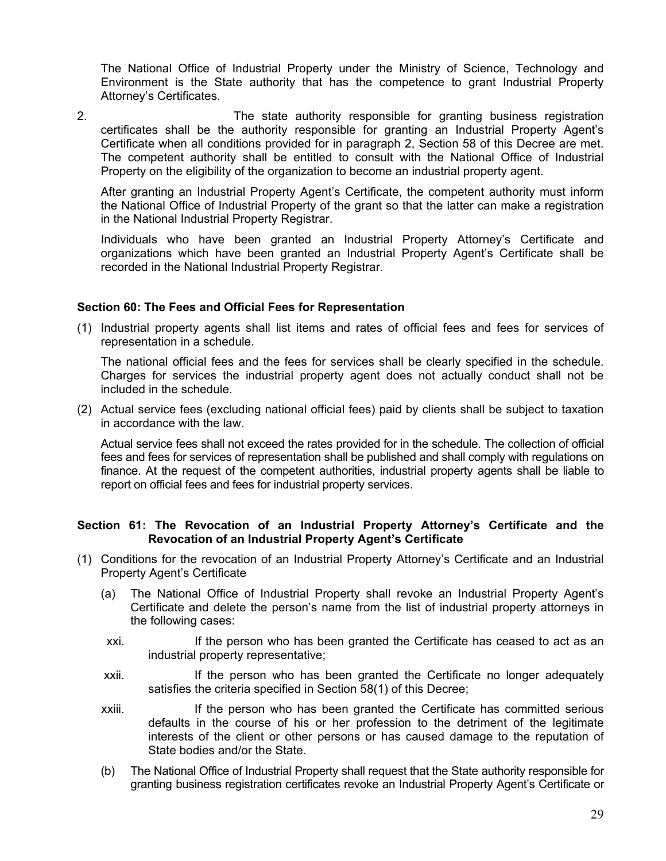The National Office of Industrial Property under the Ministry of Science, Technology and Environment is the State authority that has the competence to grant Industrial Property Attorney's Certificates.

2. The state authority responsible for granting business registration certificates shall be the authority responsible for granting an Industrial Property Agent's Certificate when all conditions provided for in paragraph 2, Section 58 of this Decree are met. The competent authority shall be entitled to consult with the National Office of Industrial Property on the eligibility of the organization to become an industrial property agent.

After granting an Industrial Property Agent's Certificate, the competent authority must inform the National Office of Industrial Property of the grant so that the latter can make a registration in the National Industrial Property Registrar.

Individuals who have been granted an Industrial Property Attorney's Certificate and organizations which have been granted an Industrial Property Agent's Certificate shall be recorded in the National Industrial Property Registrar.

### **Section 60: The Fees and Official Fees for Representation**

(1) Industrial property agents shall list items and rates of official fees and fees for services of representation in a schedule.

The national official fees and the fees for services shall be clearly specified in the schedule. Charges for services the industrial property agent does not actually conduct shall not be included in the schedule.

(2) Actual service fees (excluding national official fees) paid by clients shall be subject to taxation in accordance with the law.

Actual service fees shall not exceed the rates provided for in the schedule. The collection of official fees and fees for services of representation shall be published and shall comply with regulations on finance. At the request of the competent authorities, industrial property agents shall be liable to report on official fees and fees for industrial property services.

### **Section 61: The Revocation of an Industrial Property Attorney's Certificate and the Revocation of an Industrial Property Agent's Certificate**

- (1) Conditions for the revocation of an Industrial Property Attorney's Certificate and an Industrial Property Agent's Certificate
	- (a) The National Office of Industrial Property shall revoke an Industrial Property Agent's Certificate and delete the person's name from the list of industrial property attorneys in the following cases:
	- xxi. If the person who has been granted the Certificate has ceased to act as an industrial property representative;
	- xxii. If the person who has been granted the Certificate no longer adequately satisfies the criteria specified in Section 58(1) of this Decree;
	- xxiii. If the person who has been granted the Certificate has committed serious defaults in the course of his or her profession to the detriment of the legitimate interests of the client or other persons or has caused damage to the reputation of State bodies and/or the State.
	- (b) The National Office of Industrial Property shall request that the State authority responsible for granting business registration certificates revoke an Industrial Property Agent's Certificate or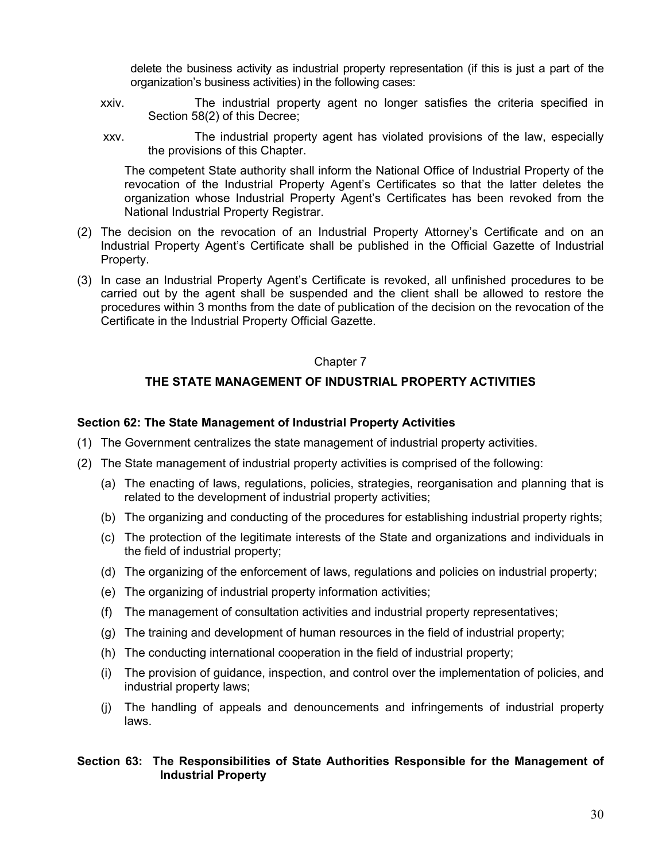delete the business activity as industrial property representation (if this is just a part of the organization's business activities) in the following cases:

- xxiv. The industrial property agent no longer satisfies the criteria specified in Section 58(2) of this Decree;
- xxv. The industrial property agent has violated provisions of the law, especially the provisions of this Chapter.

The competent State authority shall inform the National Office of Industrial Property of the revocation of the Industrial Property Agent's Certificates so that the latter deletes the organization whose Industrial Property Agent's Certificates has been revoked from the National Industrial Property Registrar.

- (2) The decision on the revocation of an Industrial Property Attorney's Certificate and on an Industrial Property Agent's Certificate shall be published in the Official Gazette of Industrial Property.
- (3) In case an Industrial Property Agent's Certificate is revoked, all unfinished procedures to be carried out by the agent shall be suspended and the client shall be allowed to restore the procedures within 3 months from the date of publication of the decision on the revocation of the Certificate in the Industrial Property Official Gazette.

### Chapter 7

### **THE STATE MANAGEMENT OF INDUSTRIAL PROPERTY ACTIVITIES**

### **Section 62: The State Management of Industrial Property Activities**

- (1) The Government centralizes the state management of industrial property activities.
- (2) The State management of industrial property activities is comprised of the following:
	- (a) The enacting of laws, regulations, policies, strategies, reorganisation and planning that is related to the development of industrial property activities;
	- (b) The organizing and conducting of the procedures for establishing industrial property rights;
	- (c) The protection of the legitimate interests of the State and organizations and individuals in the field of industrial property;
	- (d) The organizing of the enforcement of laws, regulations and policies on industrial property;
	- (e) The organizing of industrial property information activities;
	- (f) The management of consultation activities and industrial property representatives;
	- (g) The training and development of human resources in the field of industrial property;
	- (h) The conducting international cooperation in the field of industrial property;
	- (i) The provision of guidance, inspection, and control over the implementation of policies, and industrial property laws;
	- (j) The handling of appeals and denouncements and infringements of industrial property laws.

### **Section 63: The Responsibilities of State Authorities Responsible for the Management of Industrial Property**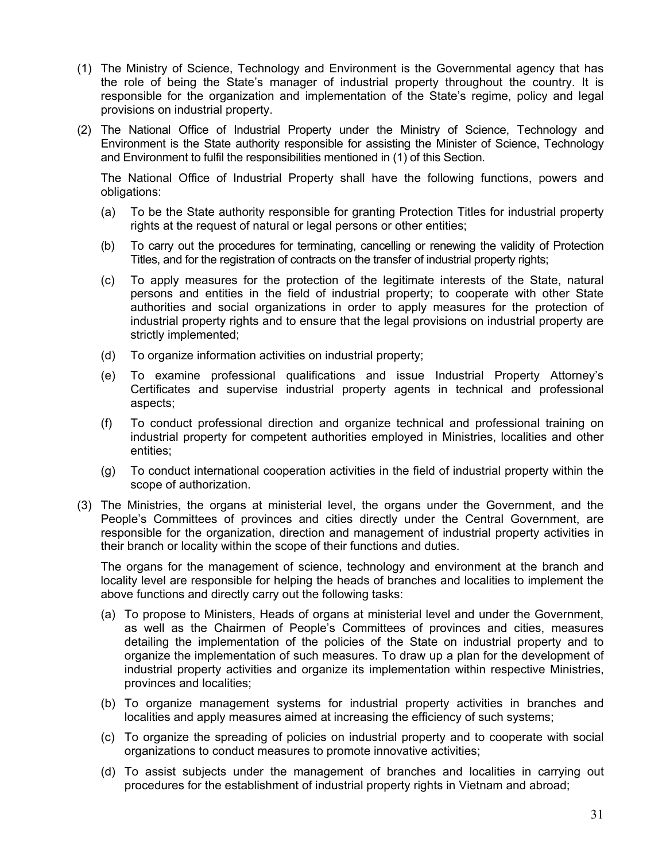- (1) The Ministry of Science, Technology and Environment is the Governmental agency that has the role of being the State's manager of industrial property throughout the country. It is responsible for the organization and implementation of the State's regime, policy and legal provisions on industrial property.
- (2) The National Office of Industrial Property under the Ministry of Science, Technology and Environment is the State authority responsible for assisting the Minister of Science, Technology and Environment to fulfil the responsibilities mentioned in (1) of this Section.

The National Office of Industrial Property shall have the following functions, powers and obligations:

- (a) To be the State authority responsible for granting Protection Titles for industrial property rights at the request of natural or legal persons or other entities;
- (b) To carry out the procedures for terminating, cancelling or renewing the validity of Protection Titles, and for the registration of contracts on the transfer of industrial property rights;
- (c) To apply measures for the protection of the legitimate interests of the State, natural persons and entities in the field of industrial property; to cooperate with other State authorities and social organizations in order to apply measures for the protection of industrial property rights and to ensure that the legal provisions on industrial property are strictly implemented;
- (d) To organize information activities on industrial property;
- (e) To examine professional qualifications and issue Industrial Property Attorney's Certificates and supervise industrial property agents in technical and professional aspects;
- (f) To conduct professional direction and organize technical and professional training on industrial property for competent authorities employed in Ministries, localities and other entities;
- (g) To conduct international cooperation activities in the field of industrial property within the scope of authorization.
- (3) The Ministries, the organs at ministerial level, the organs under the Government, and the People's Committees of provinces and cities directly under the Central Government, are responsible for the organization, direction and management of industrial property activities in their branch or locality within the scope of their functions and duties.

The organs for the management of science, technology and environment at the branch and locality level are responsible for helping the heads of branches and localities to implement the above functions and directly carry out the following tasks:

- (a) To propose to Ministers, Heads of organs at ministerial level and under the Government, as well as the Chairmen of People's Committees of provinces and cities, measures detailing the implementation of the policies of the State on industrial property and to organize the implementation of such measures. To draw up a plan for the development of industrial property activities and organize its implementation within respective Ministries, provinces and localities;
- (b) To organize management systems for industrial property activities in branches and localities and apply measures aimed at increasing the efficiency of such systems;
- (c) To organize the spreading of policies on industrial property and to cooperate with social organizations to conduct measures to promote innovative activities;
- (d) To assist subjects under the management of branches and localities in carrying out procedures for the establishment of industrial property rights in Vietnam and abroad;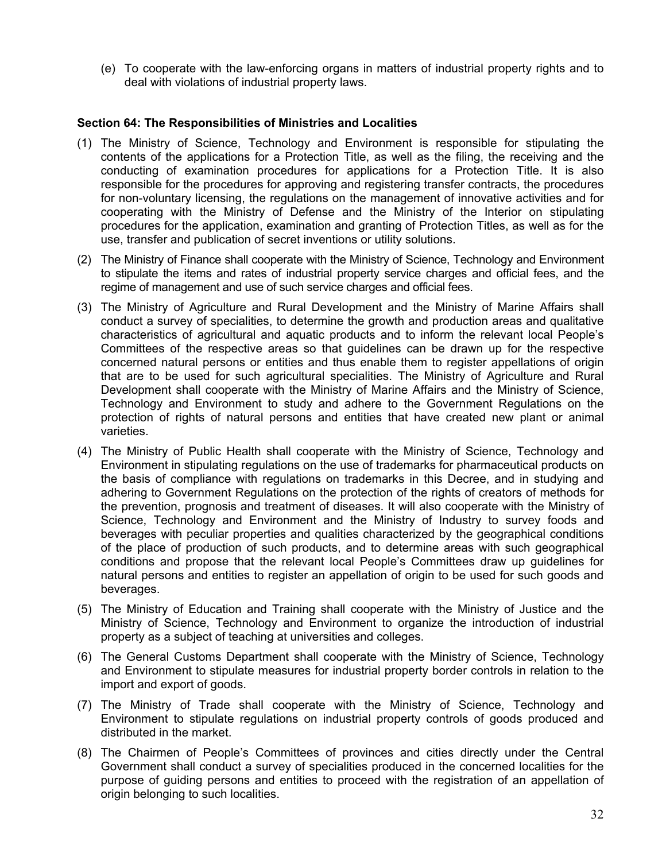(e) To cooperate with the law-enforcing organs in matters of industrial property rights and to deal with violations of industrial property laws.

### **Section 64: The Responsibilities of Ministries and Localities**

- (1) The Ministry of Science, Technology and Environment is responsible for stipulating the contents of the applications for a Protection Title, as well as the filing, the receiving and the conducting of examination procedures for applications for a Protection Title. It is also responsible for the procedures for approving and registering transfer contracts, the procedures for non-voluntary licensing, the regulations on the management of innovative activities and for cooperating with the Ministry of Defense and the Ministry of the Interior on stipulating procedures for the application, examination and granting of Protection Titles, as well as for the use, transfer and publication of secret inventions or utility solutions.
- (2) The Ministry of Finance shall cooperate with the Ministry of Science, Technology and Environment to stipulate the items and rates of industrial property service charges and official fees, and the regime of management and use of such service charges and official fees.
- (3) The Ministry of Agriculture and Rural Development and the Ministry of Marine Affairs shall conduct a survey of specialities, to determine the growth and production areas and qualitative characteristics of agricultural and aquatic products and to inform the relevant local People's Committees of the respective areas so that guidelines can be drawn up for the respective concerned natural persons or entities and thus enable them to register appellations of origin that are to be used for such agricultural specialities. The Ministry of Agriculture and Rural Development shall cooperate with the Ministry of Marine Affairs and the Ministry of Science, Technology and Environment to study and adhere to the Government Regulations on the protection of rights of natural persons and entities that have created new plant or animal varieties.
- (4) The Ministry of Public Health shall cooperate with the Ministry of Science, Technology and Environment in stipulating regulations on the use of trademarks for pharmaceutical products on the basis of compliance with regulations on trademarks in this Decree, and in studying and adhering to Government Regulations on the protection of the rights of creators of methods for the prevention, prognosis and treatment of diseases. It will also cooperate with the Ministry of Science, Technology and Environment and the Ministry of Industry to survey foods and beverages with peculiar properties and qualities characterized by the geographical conditions of the place of production of such products, and to determine areas with such geographical conditions and propose that the relevant local People's Committees draw up guidelines for natural persons and entities to register an appellation of origin to be used for such goods and beverages.
- (5) The Ministry of Education and Training shall cooperate with the Ministry of Justice and the Ministry of Science, Technology and Environment to organize the introduction of industrial property as a subject of teaching at universities and colleges.
- (6) The General Customs Department shall cooperate with the Ministry of Science, Technology and Environment to stipulate measures for industrial property border controls in relation to the import and export of goods.
- (7) The Ministry of Trade shall cooperate with the Ministry of Science, Technology and Environment to stipulate regulations on industrial property controls of goods produced and distributed in the market.
- (8) The Chairmen of People's Committees of provinces and cities directly under the Central Government shall conduct a survey of specialities produced in the concerned localities for the purpose of guiding persons and entities to proceed with the registration of an appellation of origin belonging to such localities.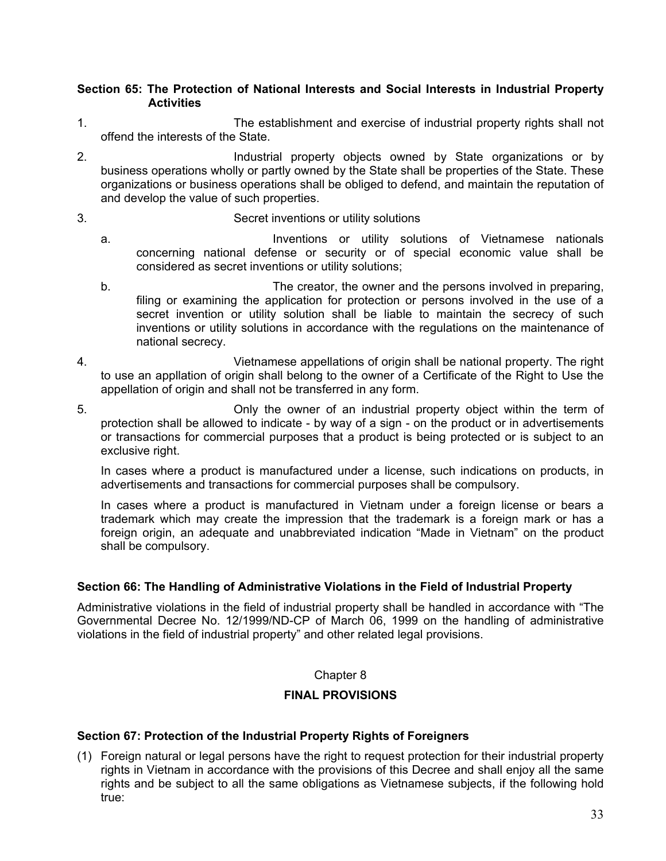### **Section 65: The Protection of National Interests and Social Interests in Industrial Property Activities**

- 1. The establishment and exercise of industrial property rights shall not offend the interests of the State.
- 2. Industrial property objects owned by State organizations or by business operations wholly or partly owned by the State shall be properties of the State. These organizations or business operations shall be obliged to defend, and maintain the reputation of and develop the value of such properties.

### 3. Secret inventions or utility solutions

- a. Inventions or utility solutions of Vietnamese nationals concerning national defense or security or of special economic value shall be considered as secret inventions or utility solutions;
- b. The creator, the owner and the persons involved in preparing, filing or examining the application for protection or persons involved in the use of a secret invention or utility solution shall be liable to maintain the secrecy of such inventions or utility solutions in accordance with the regulations on the maintenance of national secrecy.
- 4. Vietnamese appellations of origin shall be national property. The right to use an appllation of origin shall belong to the owner of a Certificate of the Right to Use the appellation of origin and shall not be transferred in any form.
- 5. Only the owner of an industrial property object within the term of protection shall be allowed to indicate - by way of a sign - on the product or in advertisements or transactions for commercial purposes that a product is being protected or is subject to an exclusive right.

In cases where a product is manufactured under a license, such indications on products, in advertisements and transactions for commercial purposes shall be compulsory.

In cases where a product is manufactured in Vietnam under a foreign license or bears a trademark which may create the impression that the trademark is a foreign mark or has a foreign origin, an adequate and unabbreviated indication "Made in Vietnam" on the product shall be compulsory.

## **Section 66: The Handling of Administrative Violations in the Field of Industrial Property**

Administrative violations in the field of industrial property shall be handled in accordance with "The Governmental Decree No. 12/1999/ND-CP of March 06, 1999 on the handling of administrative violations in the field of industrial property" and other related legal provisions.

### Chapter 8

# **FINAL PROVISIONS**

### **Section 67: Protection of the Industrial Property Rights of Foreigners**

(1) Foreign natural or legal persons have the right to request protection for their industrial property rights in Vietnam in accordance with the provisions of this Decree and shall enjoy all the same rights and be subject to all the same obligations as Vietnamese subjects, if the following hold true: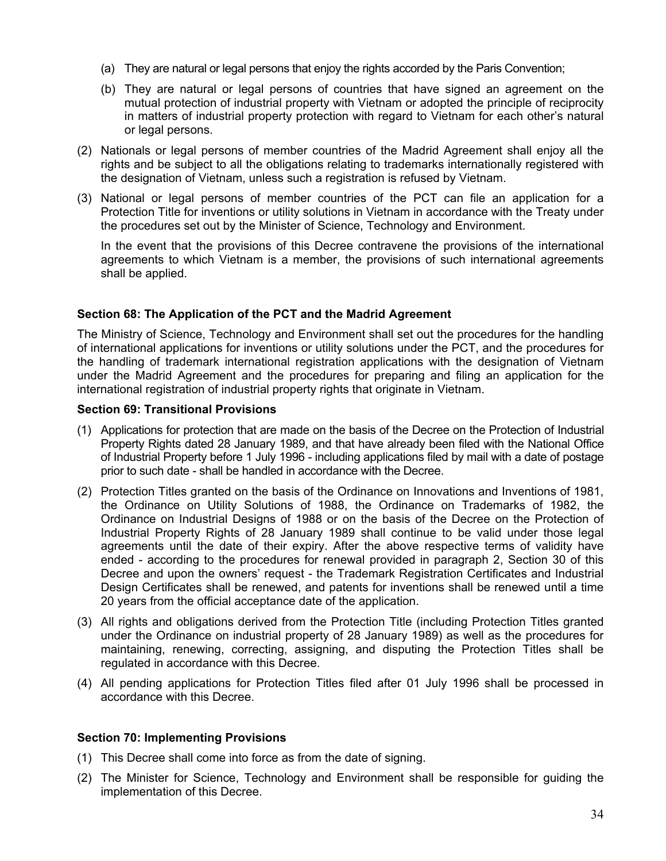- (a) They are natural or legal persons that enjoy the rights accorded by the Paris Convention;
- (b) They are natural or legal persons of countries that have signed an agreement on the mutual protection of industrial property with Vietnam or adopted the principle of reciprocity in matters of industrial property protection with regard to Vietnam for each other's natural or legal persons.
- (2) Nationals or legal persons of member countries of the Madrid Agreement shall enjoy all the rights and be subject to all the obligations relating to trademarks internationally registered with the designation of Vietnam, unless such a registration is refused by Vietnam.
- (3) National or legal persons of member countries of the PCT can file an application for a Protection Title for inventions or utility solutions in Vietnam in accordance with the Treaty under the procedures set out by the Minister of Science, Technology and Environment.

In the event that the provisions of this Decree contravene the provisions of the international agreements to which Vietnam is a member, the provisions of such international agreements shall be applied.

### **Section 68: The Application of the PCT and the Madrid Agreement**

The Ministry of Science, Technology and Environment shall set out the procedures for the handling of international applications for inventions or utility solutions under the PCT, and the procedures for the handling of trademark international registration applications with the designation of Vietnam under the Madrid Agreement and the procedures for preparing and filing an application for the international registration of industrial property rights that originate in Vietnam.

### **Section 69: Transitional Provisions**

- (1) Applications for protection that are made on the basis of the Decree on the Protection of Industrial Property Rights dated 28 January 1989, and that have already been filed with the National Office of Industrial Property before 1 July 1996 - including applications filed by mail with a date of postage prior to such date - shall be handled in accordance with the Decree.
- (2) Protection Titles granted on the basis of the Ordinance on Innovations and Inventions of 1981, the Ordinance on Utility Solutions of 1988, the Ordinance on Trademarks of 1982, the Ordinance on Industrial Designs of 1988 or on the basis of the Decree on the Protection of Industrial Property Rights of 28 January 1989 shall continue to be valid under those legal agreements until the date of their expiry. After the above respective terms of validity have ended - according to the procedures for renewal provided in paragraph 2, Section 30 of this Decree and upon the owners' request - the Trademark Registration Certificates and Industrial Design Certificates shall be renewed, and patents for inventions shall be renewed until a time 20 years from the official acceptance date of the application.
- (3) All rights and obligations derived from the Protection Title (including Protection Titles granted under the Ordinance on industrial property of 28 January 1989) as well as the procedures for maintaining, renewing, correcting, assigning, and disputing the Protection Titles shall be regulated in accordance with this Decree.
- (4) All pending applications for Protection Titles filed after 01 July 1996 shall be processed in accordance with this Decree.

### **Section 70: Implementing Provisions**

- (1) This Decree shall come into force as from the date of signing.
- (2) The Minister for Science, Technology and Environment shall be responsible for guiding the implementation of this Decree.